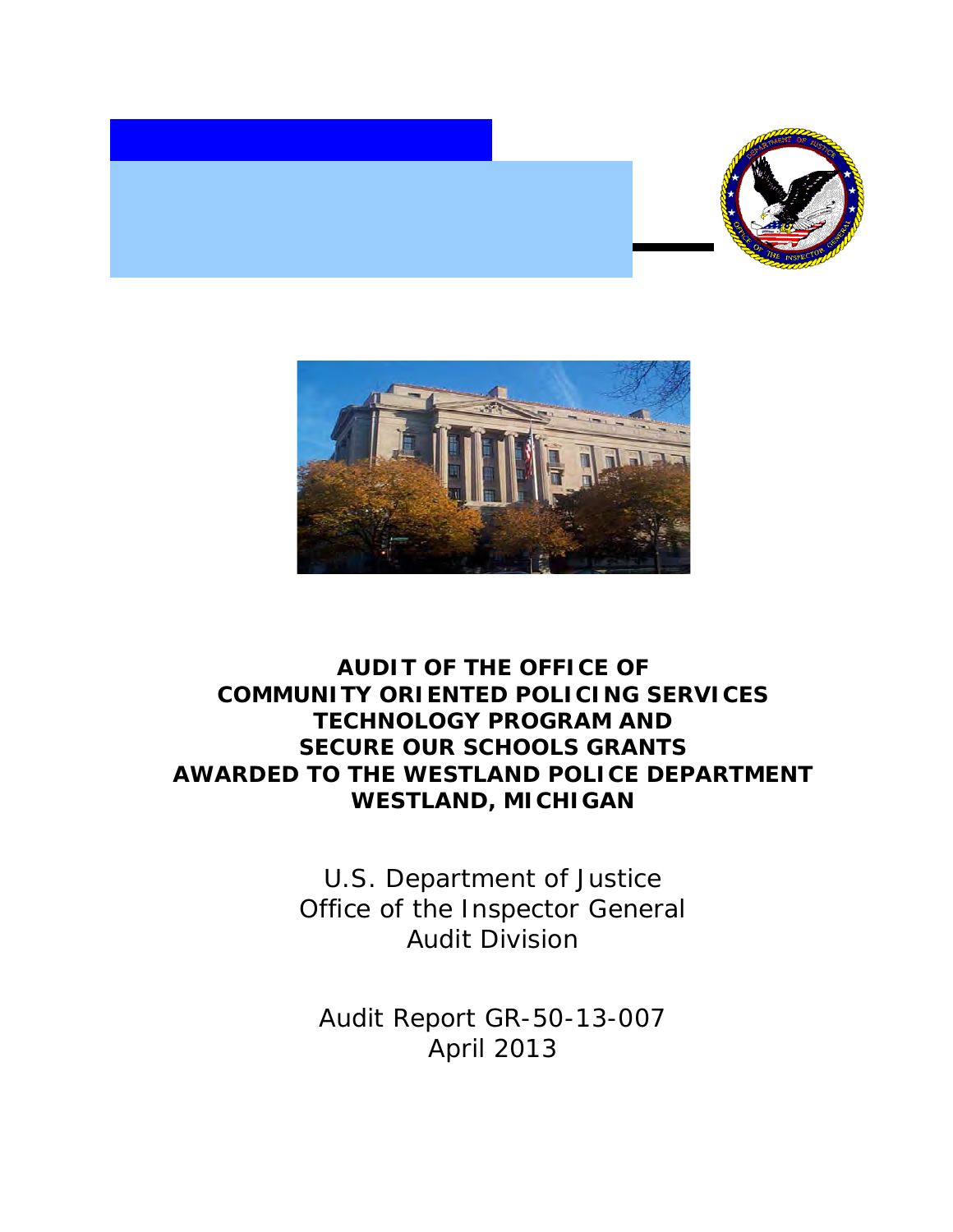



# **SECURE OUR SCHOOLS GRANTS AUDIT OF THE OFFICE OF COMMUNITY ORIENTED POLICING SERVICES TECHNOLOGY PROGRAM AND AWARDED TO THE WESTLAND POLICE DEPARTMENT WESTLAND, MICHIGAN**

 Office of the Inspector General U.S. Department of Justice Audit Division

 Audit Report GR-50-13-007 April 2013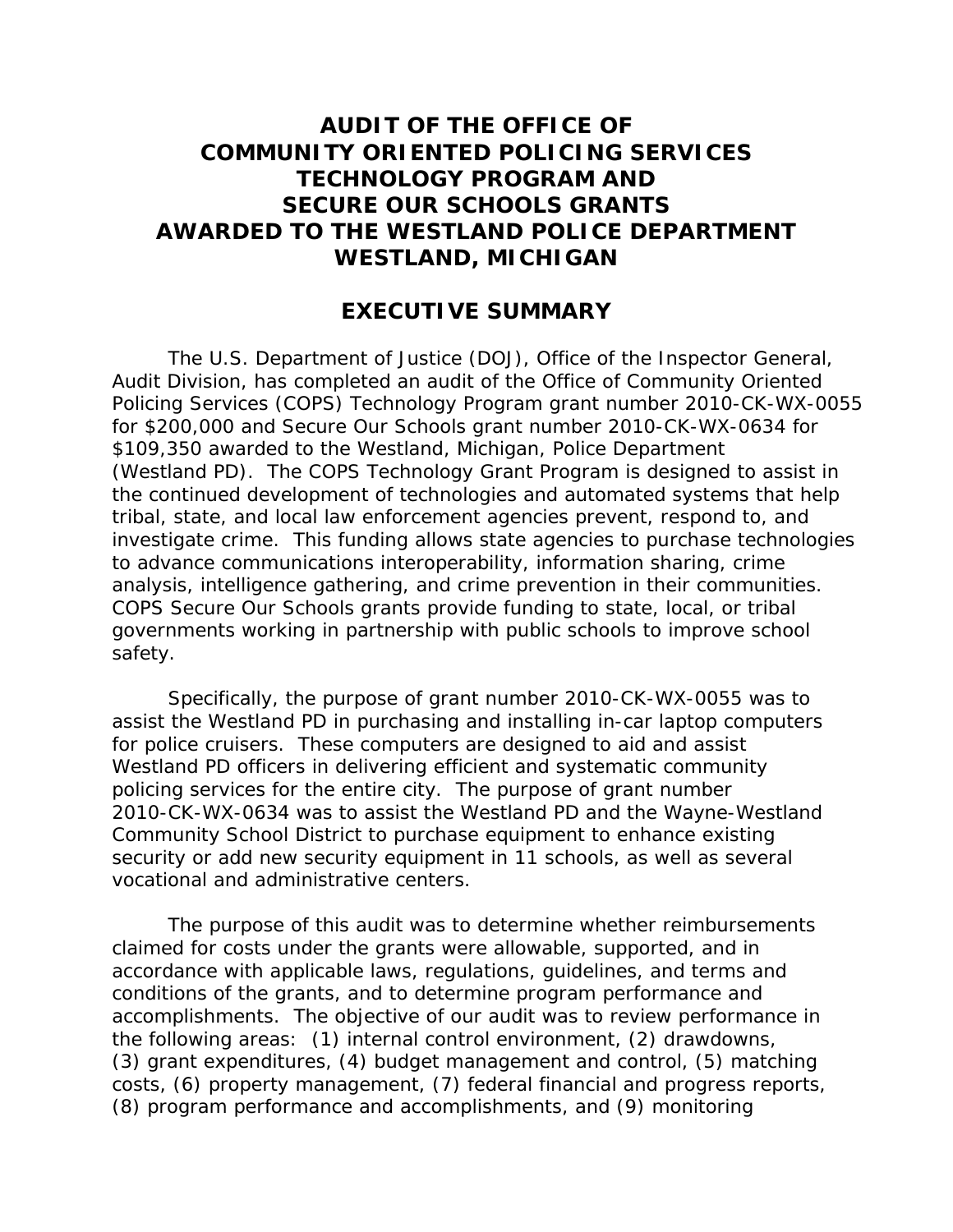# **SECURE OUR SCHOOLS GRANTS AUDIT OF THE OFFICE OF COMMUNITY ORIENTED POLICING SERVICES TECHNOLOGY PROGRAM AND AWARDED TO THE WESTLAND POLICE DEPARTMENT WESTLAND, MICHIGAN**

#### **EXECUTIVE SUMMARY**

 for \$200,000 and Secure Our Schools grant number 2010-CK-WX-0634 for \$109,350 awarded to the Westland, Michigan, Police Department investigate crime. This funding allows state agencies to purchase technologies analysis, intelligence gathering, and crime prevention in their communities. The U.S. Department of Justice (DOJ), Office of the Inspector General, Audit Division, has completed an audit of the Office of Community Oriented Policing Services (COPS) Technology Program grant number 2010-CK-WX-0055 (Westland PD). The COPS Technology Grant Program is designed to assist in the continued development of technologies and automated systems that help tribal, state, and local law enforcement agencies prevent, respond to, and to advance communications interoperability, information sharing, crime COPS Secure Our Schools grants provide funding to state, local, or tribal governments working in partnership with public schools to improve school safety.

 assist the Westland PD in purchasing and installing in-car laptop computers for police cruisers. These computers are designed to aid and assist Westland PD officers in delivering efficient and systematic community policing services for the entire city. The purpose of grant number Community School District to purchase equipment to enhance existing security or add new security equipment in 11 schools, as well as several Specifically, the purpose of grant number 2010-CK-WX-0055 was to 2010-CK-WX-0634 was to assist the Westland PD and the Wayne-Westland vocational and administrative centers.

 accomplishments. The objective of our audit was to review performance in the following areas: (1) internal control environment, (2) drawdowns, (3) grant expenditures, (4) budget management and control, (5) matching costs, (6) property management, (7) federal financial and progress reports, (8) program performance and accomplishments, and (9) monitoring The purpose of this audit was to determine whether reimbursements claimed for costs under the grants were allowable, supported, and in accordance with applicable laws, regulations, guidelines, and terms and conditions of the grants, and to determine program performance and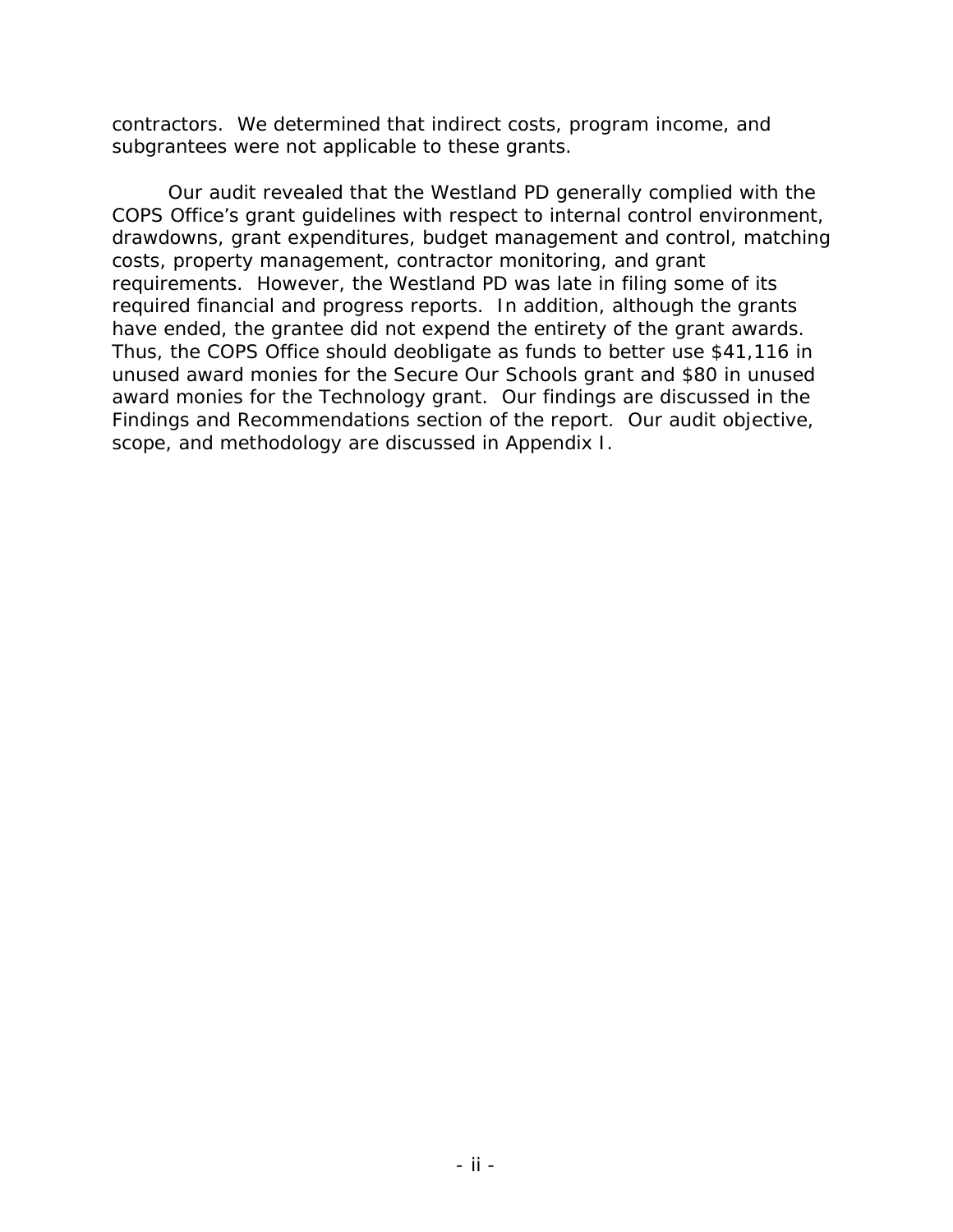contractors. We determined that indirect costs, program income, and subgrantees were not applicable to these grants.

 requirements. However, the Westland PD was late in filing some of its required financial and progress reports. In addition, although the grants have ended, the grantee did not expend the entirety of the grant awards. award monies for the Technology grant. Our findings are discussed in the Findings and Recommendations section of the report. Our audit objective, Our audit revealed that the Westland PD generally complied with the COPS Office's grant guidelines with respect to internal control environment, drawdowns, grant expenditures, budget management and control, matching costs, property management, contractor monitoring, and grant Thus, the COPS Office should deobligate as funds to better use \$41,116 in unused award monies for the Secure Our Schools grant and \$80 in unused scope, and methodology are discussed in Appendix I.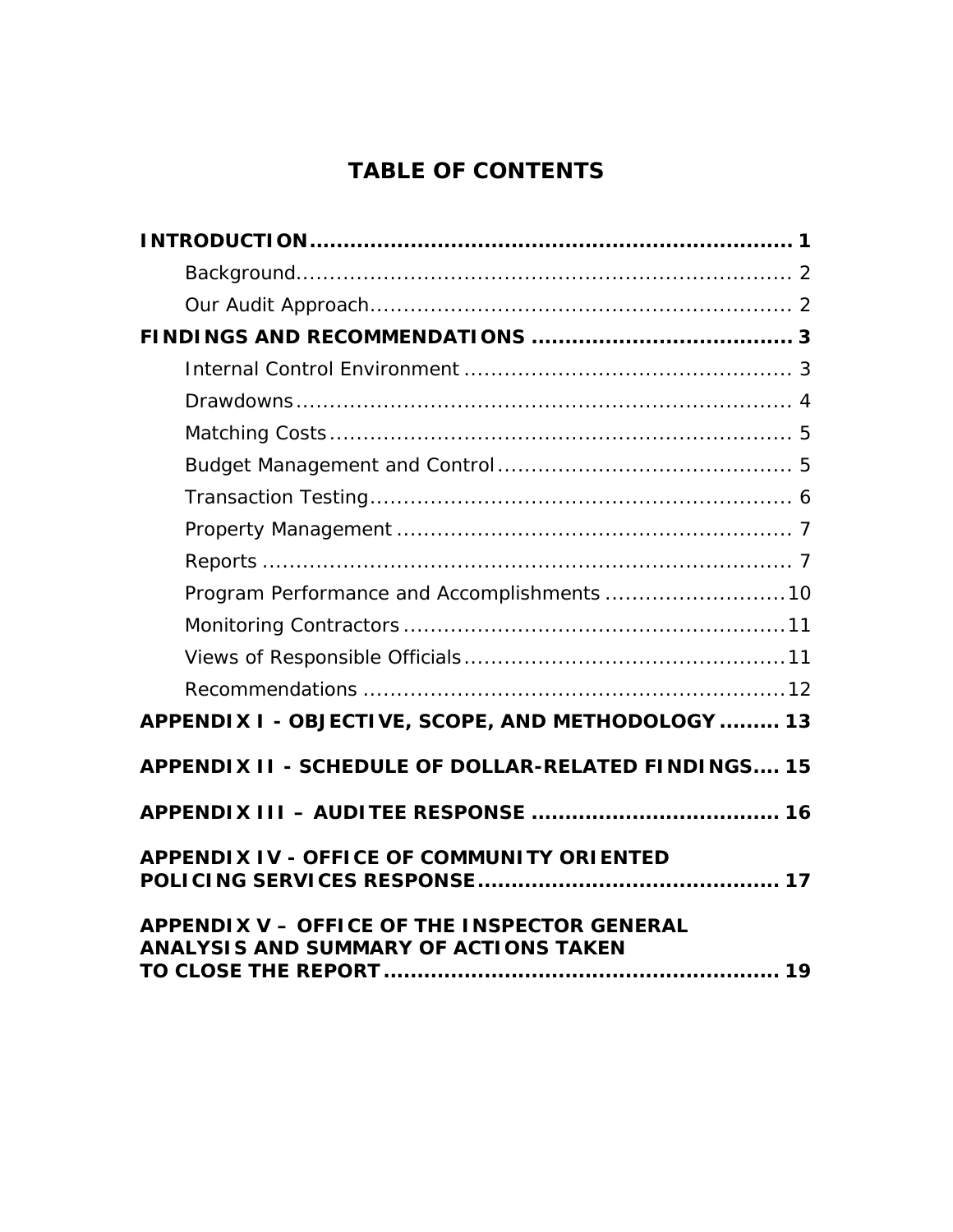# **TABLE OF CONTENTS**

| Program Performance and Accomplishments  10                                                         |
|-----------------------------------------------------------------------------------------------------|
|                                                                                                     |
|                                                                                                     |
|                                                                                                     |
| APPENDIX I - OBJECTIVE, SCOPE, AND METHODOLOGY  13                                                  |
| APPENDIX II - SCHEDULE OF DOLLAR-RELATED FINDINGS 15                                                |
|                                                                                                     |
| <b>APPENDIX IV - OFFICE OF COMMUNITY ORIENTED</b>                                                   |
| <b>APPENDIX V - OFFICE OF THE INSPECTOR GENERAL</b><br><b>ANALYSIS AND SUMMARY OF ACTIONS TAKEN</b> |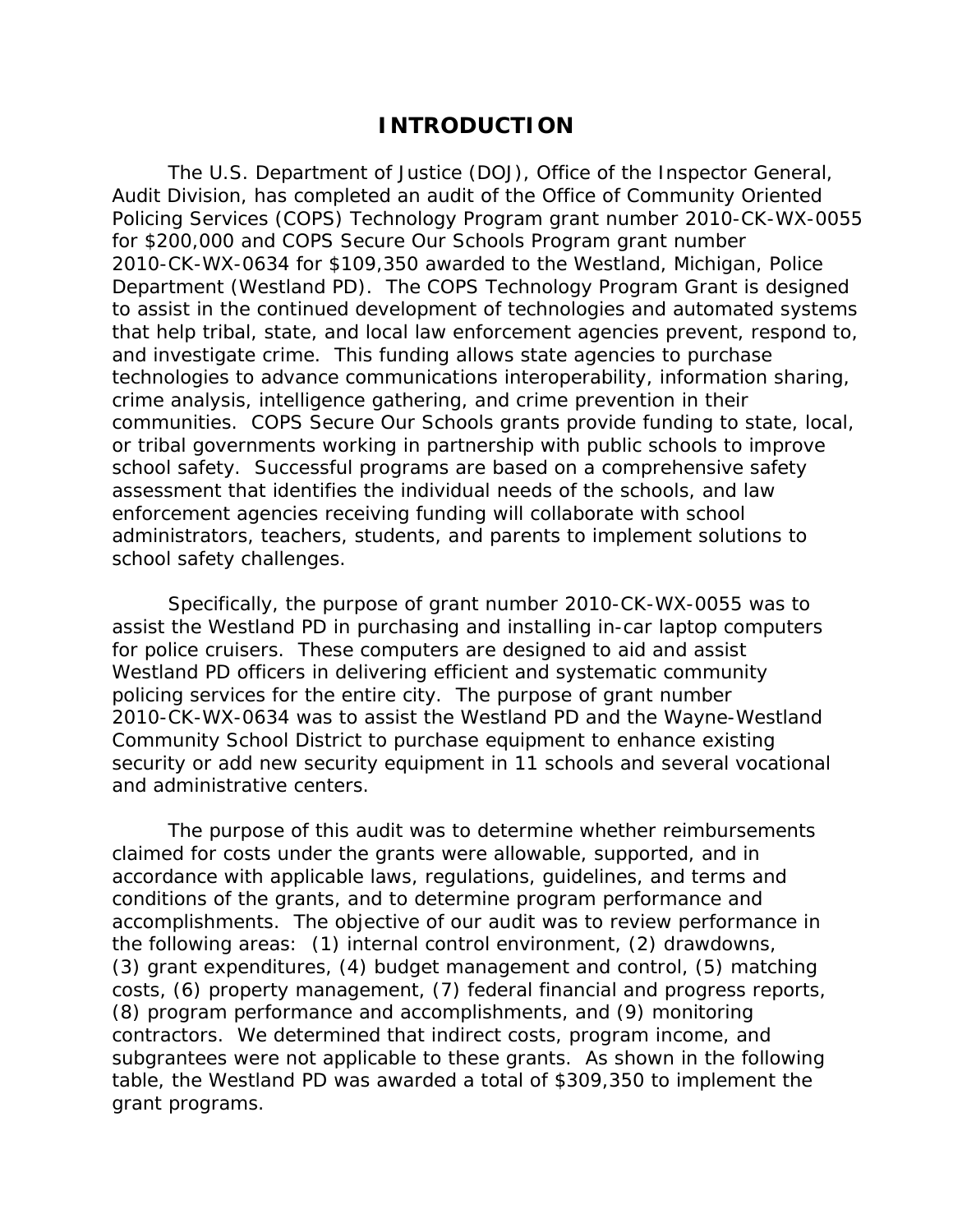#### **INTRODUCTION**

 Audit Division, has completed an audit of the Office of Community Oriented Department (Westland PD). The COPS Technology Program Grant is designed and investigate crime. This funding allows state agencies to purchase communities. COPS Secure Our Schools grants provide funding to state, local, administrators, teachers, students, and parents to implement solutions to school safety challenges. The U.S. Department of Justice (DOJ), Office of the Inspector General, Policing Services (COPS) Technology Program grant number 2010-CK-WX-0055 for \$200,000 and COPS Secure Our Schools Program grant number 2010-CK-WX-0634 for \$109,350 awarded to the Westland, Michigan, Police to assist in the continued development of technologies and automated systems that help tribal, state, and local law enforcement agencies prevent, respond to, technologies to advance communications interoperability, information sharing, crime analysis, intelligence gathering, and crime prevention in their or tribal governments working in partnership with public schools to improve school safety. Successful programs are based on a comprehensive safety assessment that identifies the individual needs of the schools, and law enforcement agencies receiving funding will collaborate with school

 assist the Westland PD in purchasing and installing in-car laptop computers for police cruisers. These computers are designed to aid and assist Westland PD officers in delivering efficient and systematic community policing services for the entire city. The purpose of grant number Community School District to purchase equipment to enhance existing and administrative centers. Specifically, the purpose of grant number 2010-CK-WX-0055 was to 2010-CK-WX-0634 was to assist the Westland PD and the Wayne-Westland security or add new security equipment in 11 schools and several vocational

 accomplishments. The objective of our audit was to review performance in the following areas: (1) internal control environment, (2) drawdowns, (3) grant expenditures, (4) budget management and control, (5) matching contractors. We determined that indirect costs, program income, and The purpose of this audit was to determine whether reimbursements claimed for costs under the grants were allowable, supported, and in accordance with applicable laws, regulations, guidelines, and terms and conditions of the grants, and to determine program performance and costs, (6) property management, (7) federal financial and progress reports, (8) program performance and accomplishments, and (9) monitoring subgrantees were not applicable to these grants. As shown in the following table, the Westland PD was awarded a total of \$309,350 to implement the grant programs.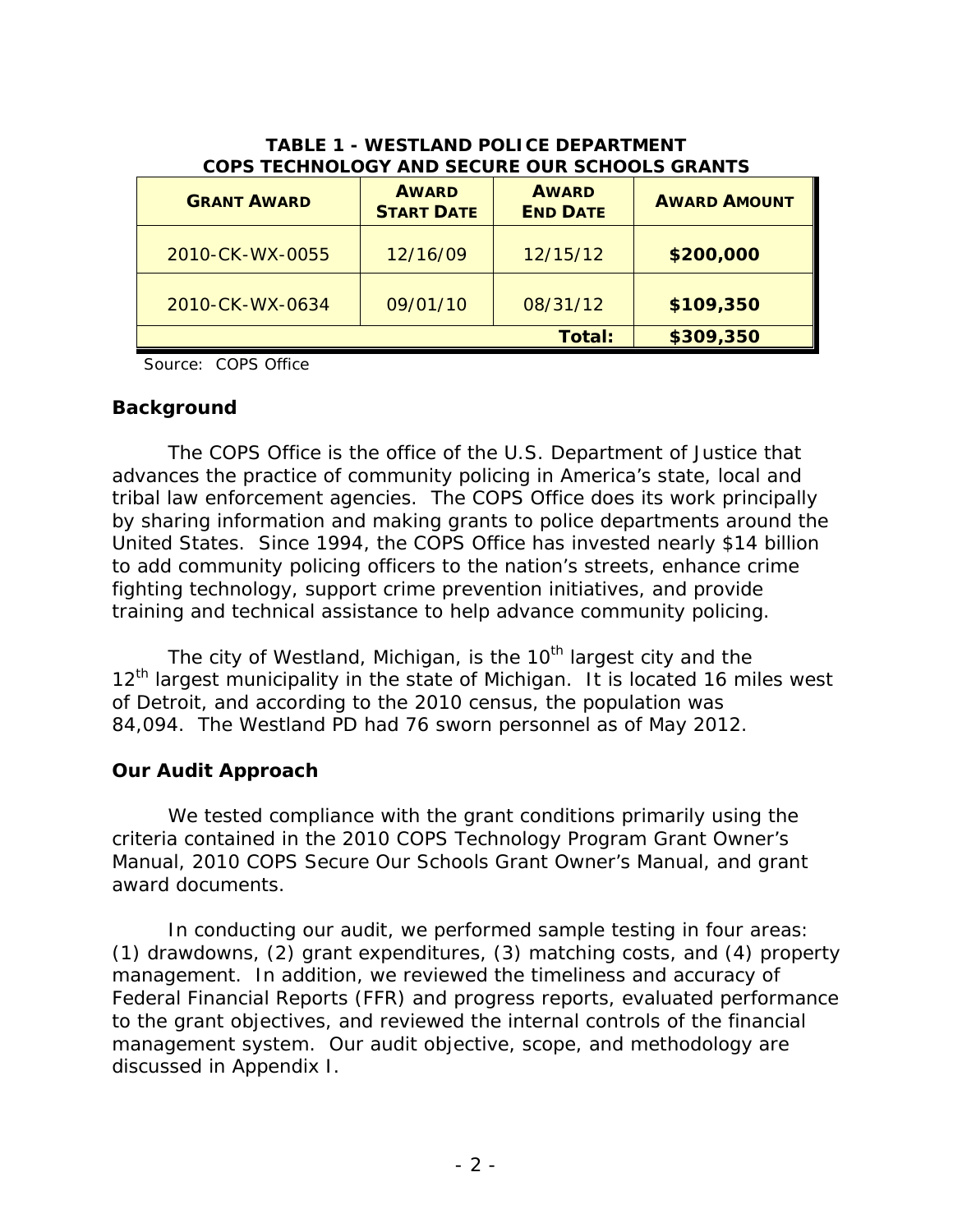| COPS TECHNOLOGY AND SECURE OUR SCHOOLS GRANTS<br><b>GRANT AWARD</b> | <b>AWARD</b><br><b>START DATE</b> | <b>AWARD</b><br><b>END DATE</b> | <b>AWARD AMOUNT</b> |
|---------------------------------------------------------------------|-----------------------------------|---------------------------------|---------------------|
| 2010-CK-WX-0055                                                     | 12/16/09                          | 12/15/12                        | \$200,000           |
| 2010-CK-WX-0634                                                     | 09/01/10                          | 08/31/12                        | \$109,350           |
|                                                                     |                                   | <b>Total:</b>                   | \$309,350           |

#### **TABLE 1 - WESTLAND POLICE DEPARTMENT COPS TECHNOLOGY AND SECURE OUR SCHOOLS GRANTS**

Source: COPS Office

#### **Background**

 advances the practice of community policing in America's state, local and United States. Since 1994, the COPS Office has invested nearly \$14 billion The COPS Office is the office of the U.S. Department of Justice that tribal law enforcement agencies. The COPS Office does its work principally by sharing information and making grants to police departments around the to add community policing officers to the nation's streets, enhance crime fighting technology, support crime prevention initiatives, and provide training and technical assistance to help advance community policing.

The city of Westland, Michigan, is the 10<sup>th</sup> largest city and the 12<sup>th</sup> largest municipality in the state of Michigan. It is located 16 miles west of Detroit, and according to the 2010 census, the population was 84,094. The Westland PD had 76 sworn personnel as of May 2012.

#### **Our Audit Approach**

We tested compliance with the grant conditions primarily using the criteria contained in the 2010 COPS Technology Program Grant Owner's Manual, 2010 COPS Secure Our Schools Grant Owner's Manual, and grant award documents.

 In conducting our audit, we performed sample testing in four areas: (1) drawdowns, (2) grant expenditures, (3) matching costs, and (4) property to the grant objectives, and reviewed the internal controls of the financial management system. Our audit objective, scope, and methodology are management. In addition, we reviewed the timeliness and accuracy of Federal Financial Reports (FFR) and progress reports, evaluated performance discussed in Appendix I.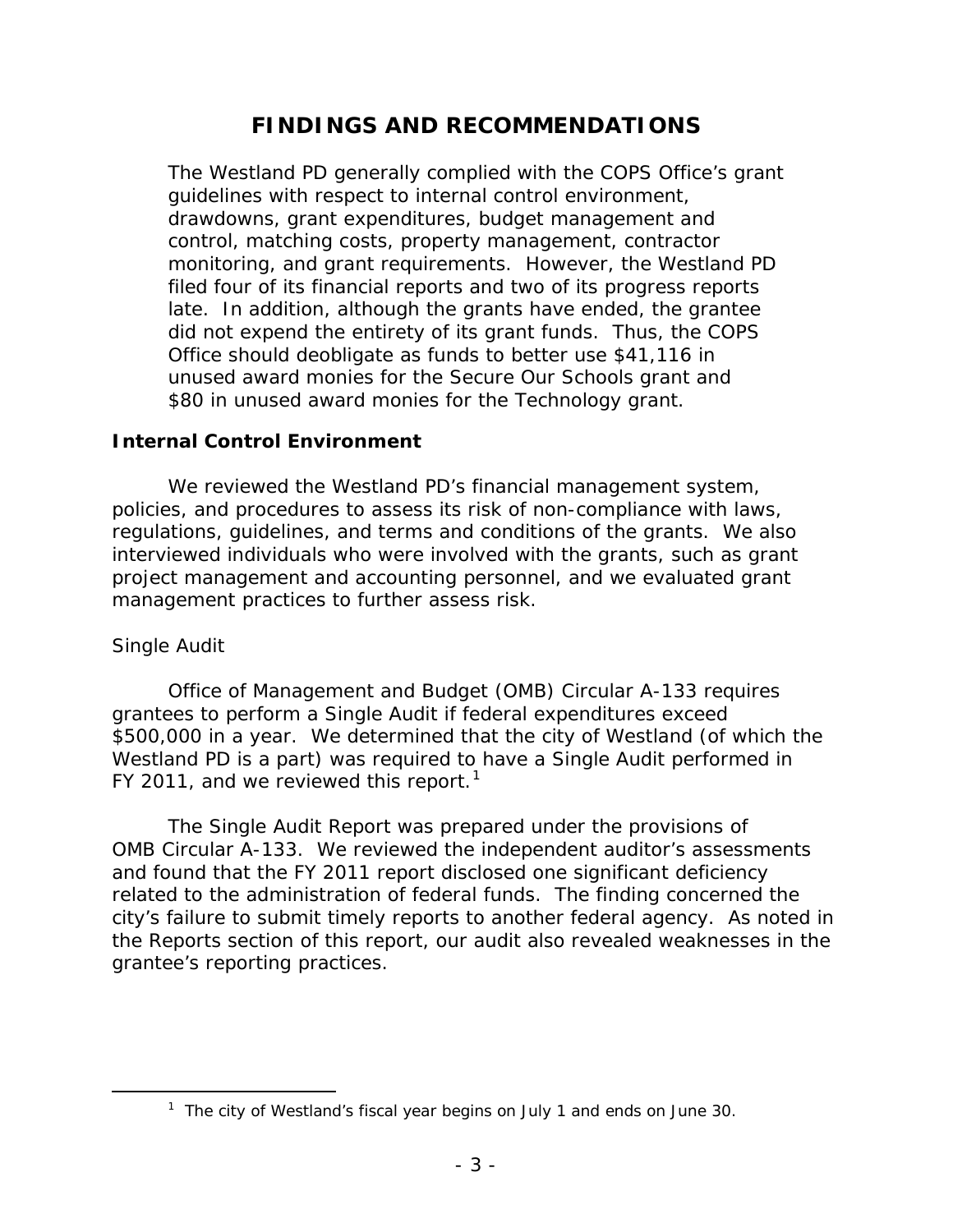# **FINDINGS AND RECOMMENDATIONS**

 late. In addition, although the grants have ended, the grantee Office should deobligate as funds to better use \$41,116 in The Westland PD generally complied with the COPS Office's grant guidelines with respect to internal control environment, drawdowns, grant expenditures, budget management and control, matching costs, property management, contractor monitoring, and grant requirements. However, the Westland PD filed four of its financial reports and two of its progress reports did not expend the entirety of its grant funds. Thus, the COPS unused award monies for the Secure Our Schools grant and \$80 in unused award monies for the Technology grant.

#### **Internal Control Environment**

We reviewed the Westland PD's financial management system, policies, and procedures to assess its risk of non-compliance with laws, regulations, guidelines, and terms and conditions of the grants. We also interviewed individuals who were involved with the grants, such as grant project management and accounting personnel, and we evaluated grant management practices to further assess risk.

#### *Single Audit*

<span id="page-6-0"></span> $\overline{a}$ 

 \$500,000 in a year. We determined that the city of Westland (of which the FY 2011, and we reviewed this report.<sup>1</sup> Office of Management and Budget (OMB) Circular A-133 requires grantees to perform a Single Audit if federal expenditures exceed Westland PD is a part) was required to have a Single Audit performed in

 The Single Audit Report was prepared under the provisions of related to the administration of federal funds. The finding concerned the city's failure to submit timely reports to another federal agency. As noted in grantee's reporting practices. grantee's reporting practices. 1 The city of Westland's fiscal year begins on July 1 and ends on June 30. OMB Circular A-133. We reviewed the independent auditor's assessments and found that the FY 2011 report disclosed one significant deficiency the Reports section of this report, our audit also revealed weaknesses in the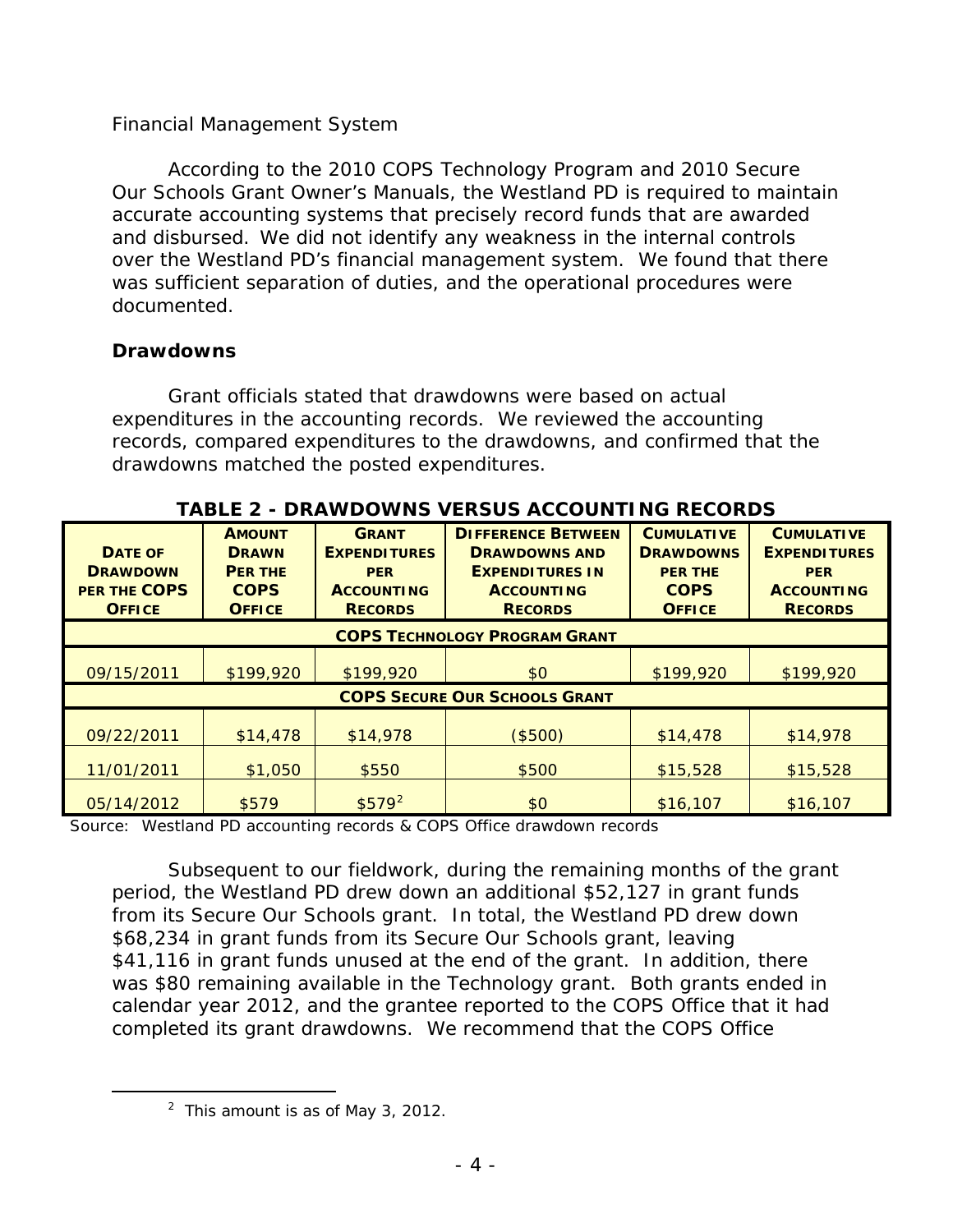#### *Financial Management System*

 According to the 2010 COPS Technology Program and 2010 Secure and disbursed. We did not identify any weakness in the internal controls over the Westland PD's financial management system. We found that there Our Schools Grant Owner's Manuals, the Westland PD is required to maintain accurate accounting systems that precisely record funds that are awarded was sufficient separation of duties, and the operational procedures were documented.

#### **Drawdowns**

 expenditures in the accounting records. We reviewed the accounting records, compared expenditures to the drawdowns, and confirmed that the drawdowns matched the posted expenditures. Grant officials stated that drawdowns were based on actual

| <b>DATE OF</b><br><b>DRAWDOWN</b><br>PER THE COPS<br><b>OFFICE</b> | <b>AMOUNT</b><br><b>DRAWN</b><br><b>PER THE</b><br><b>COPS</b><br><b>OFFICE</b> | <b>GRANT</b><br><b>EXPENDITURES</b><br><b>PER</b><br><b>ACCOUNTING</b><br><b>RECORDS</b> | <b>DIFFERENCE BETWEEN</b><br><b>DRAWDOWNS AND</b><br><b>EXPENDITURES IN</b><br><b>ACCOUNTING</b><br><b>RECORDS</b> | <b>CUMULATIVE</b><br><b>DRAWDOWNS</b><br><b>PER THE</b><br><b>COPS</b><br><b>OFFICE</b> | <b>CUMULATIVE</b><br><b>EXPENDITURES</b><br><b>PER</b><br><b>ACCOUNTING</b><br><b>RECORDS</b> |
|--------------------------------------------------------------------|---------------------------------------------------------------------------------|------------------------------------------------------------------------------------------|--------------------------------------------------------------------------------------------------------------------|-----------------------------------------------------------------------------------------|-----------------------------------------------------------------------------------------------|
| <b>COPS TECHNOLOGY PROGRAM GRANT</b>                               |                                                                                 |                                                                                          |                                                                                                                    |                                                                                         |                                                                                               |
| 09/15/2011                                                         | \$199,920                                                                       | \$199,920                                                                                | \$0                                                                                                                | \$199,920                                                                               | \$199,920                                                                                     |
| <b>COPS SECURE OUR SCHOOLS GRANT</b>                               |                                                                                 |                                                                                          |                                                                                                                    |                                                                                         |                                                                                               |
| 09/22/2011                                                         | \$14,478                                                                        | \$14,978                                                                                 | (\$500)                                                                                                            | \$14,478                                                                                | \$14,978                                                                                      |
| 11/01/2011                                                         | \$1,050                                                                         | \$550                                                                                    | \$500                                                                                                              | \$15,528                                                                                | \$15,528                                                                                      |
| 05/14/2012                                                         | \$579                                                                           | $$579^2$                                                                                 | \$0                                                                                                                | \$16,107                                                                                | \$16,107                                                                                      |

 **TABLE 2 - DRAWDOWNS VERSUS ACCOUNTING RECORDS** 

Source: Westland PD accounting records & COPS Office drawdown records

 period, the Westland PD drew down an additional \$52,127 in grant funds \$41,116 in grant funds unused at the end of the grant. In addition, there completed its grant drawdowns. We recommend that the COPS Office Subsequent to our fieldwork, during the remaining months of the grant from its Secure Our Schools grant. In total, the Westland PD drew down \$68,234 in grant funds from its Secure Our Schools grant, leaving was \$80 remaining available in the Technology grant. Both grants ended in calendar year 2012, and the grantee reported to the COPS Office that it had

<span id="page-7-0"></span> $\overline{a}$ 

 $2$  This amount is as of May 3, 2012.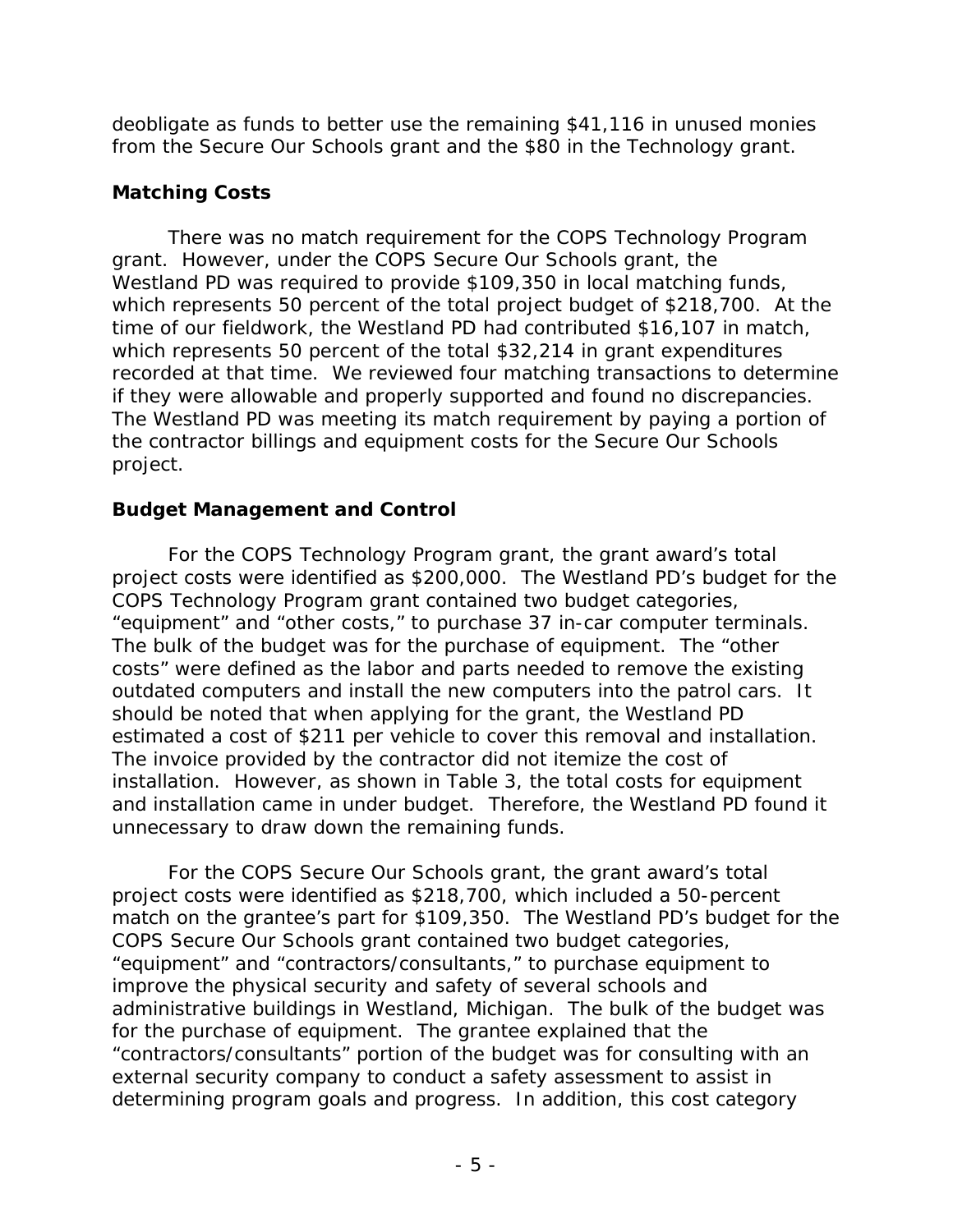deobligate as funds to better use the remaining \$41,116 in unused monies from the Secure Our Schools grant and the \$80 in the Technology grant.

### **Matching Costs**

 Westland PD was required to provide \$109,350 in local matching funds, which represents 50 percent of the total \$32,214 in grant expenditures if they were allowable and properly supported and found no discrepancies. the contractor billings and equipment costs for the Secure Our Schools There was no match requirement for the COPS Technology Program grant. However, under the COPS Secure Our Schools grant, the which represents 50 percent of the total project budget of \$218,700. At the time of our fieldwork, the Westland PD had contributed \$16,107 in match, recorded at that time. We reviewed four matching transactions to determine The Westland PD was meeting its match requirement by paying a portion of project.

### **Budget Management and Control**

 project costs were identified as \$200,000. The Westland PD's budget for the "equipment" and "other costs," to purchase 37 in-car computer terminals. outdated computers and install the new computers into the patrol cars. It The invoice provided by the contractor did not itemize the cost of installation. However, as shown in Table 3, the total costs for equipment and installation came in under budget. Therefore, the Westland PD found it unnecessary to draw down the remaining funds. For the COPS Technology Program grant, the grant award's total COPS Technology Program grant contained two budget categories, The bulk of the budget was for the purchase of equipment. The "other costs" were defined as the labor and parts needed to remove the existing should be noted that when applying for the grant, the Westland PD estimated a cost of \$211 per vehicle to cover this removal and installation.

 match on the grantee's part for \$109,350. The Westland PD's budget for the "contractors/consultants" portion of the budget was for consulting with an determining program goals and progress. In addition, this cost category For the COPS Secure Our Schools grant, the grant award's total project costs were identified as \$218,700, which included a 50-percent COPS Secure Our Schools grant contained two budget categories, "equipment" and "contractors/consultants," to purchase equipment to improve the physical security and safety of several schools and administrative buildings in Westland, Michigan. The bulk of the budget was for the purchase of equipment. The grantee explained that the external security company to conduct a safety assessment to assist in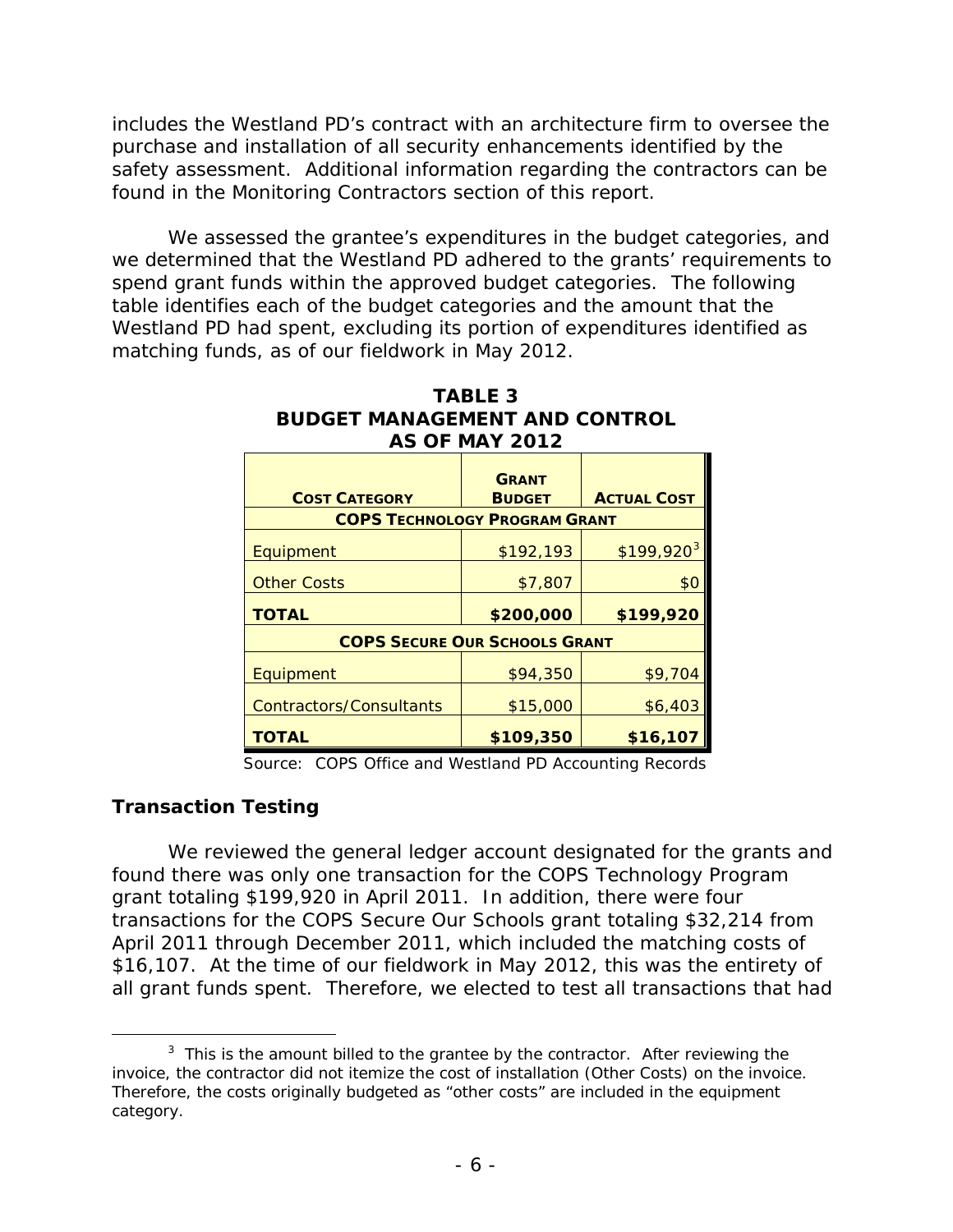safety assessment. Additional information regarding the contractors can be includes the Westland PD's contract with an architecture firm to oversee the purchase and installation of all security enhancements identified by the found in the Monitoring Contractors section of this report.

 spend grant funds within the approved budget categories. The following table identifies each of the budget categories and the amount that the Westland PD had spent, excluding its portion of expenditures identified as matching funds, as of our fieldwork in May 2012. We assessed the grantee's expenditures in the budget categories, and we determined that the Westland PD adhered to the grants' requirements to

| <b>AS OF MAY 2012</b>                                        |                               |                    |  |  |
|--------------------------------------------------------------|-------------------------------|--------------------|--|--|
| <b>COST CATEGORY</b><br><b>COPS TECHNOLOGY PROGRAM GRANT</b> | <b>GRANT</b><br><b>BUDGET</b> | <b>ACTUAL COST</b> |  |  |
|                                                              |                               |                    |  |  |
| Equipment                                                    | \$192,193                     | $$199,920^3$       |  |  |
| <b>Other Costs</b>                                           | \$7,807                       | \$0                |  |  |
| <b>TOTAL</b>                                                 | \$200,000                     | \$199,920          |  |  |
| <b>COPS SECURE OUR SCHOOLS GRANT</b>                         |                               |                    |  |  |
| Equipment                                                    | \$94,350                      | \$9,704            |  |  |
| <b>Contractors/Consultants</b>                               | \$15,000                      | \$6,403            |  |  |
| TOTAL                                                        | \$109,350                     | \$16,107           |  |  |

# **TABLE 3 BUDGET MANAGEMENT AND CONTROL**

Source: COPS Office and Westland PD Accounting Records

#### **Transaction Testing**

-

 April 2011 through December 2011, which included the matching costs of We reviewed the general ledger account designated for the grants and found there was only one transaction for the COPS Technology Program grant totaling \$199,920 in April 2011. In addition, there were four transactions for the COPS Secure Our Schools grant totaling \$32,214 from \$16,107. At the time of our fieldwork in May 2012, this was the entirety of all grant funds spent. Therefore, we elected to test all transactions that had

<span id="page-9-0"></span> $3$  This is the amount billed to the grantee by the contractor. After reviewing the invoice, the contractor did not itemize the cost of installation (Other Costs) on the invoice. Therefore, the costs originally budgeted as "other costs" are included in the equipment category.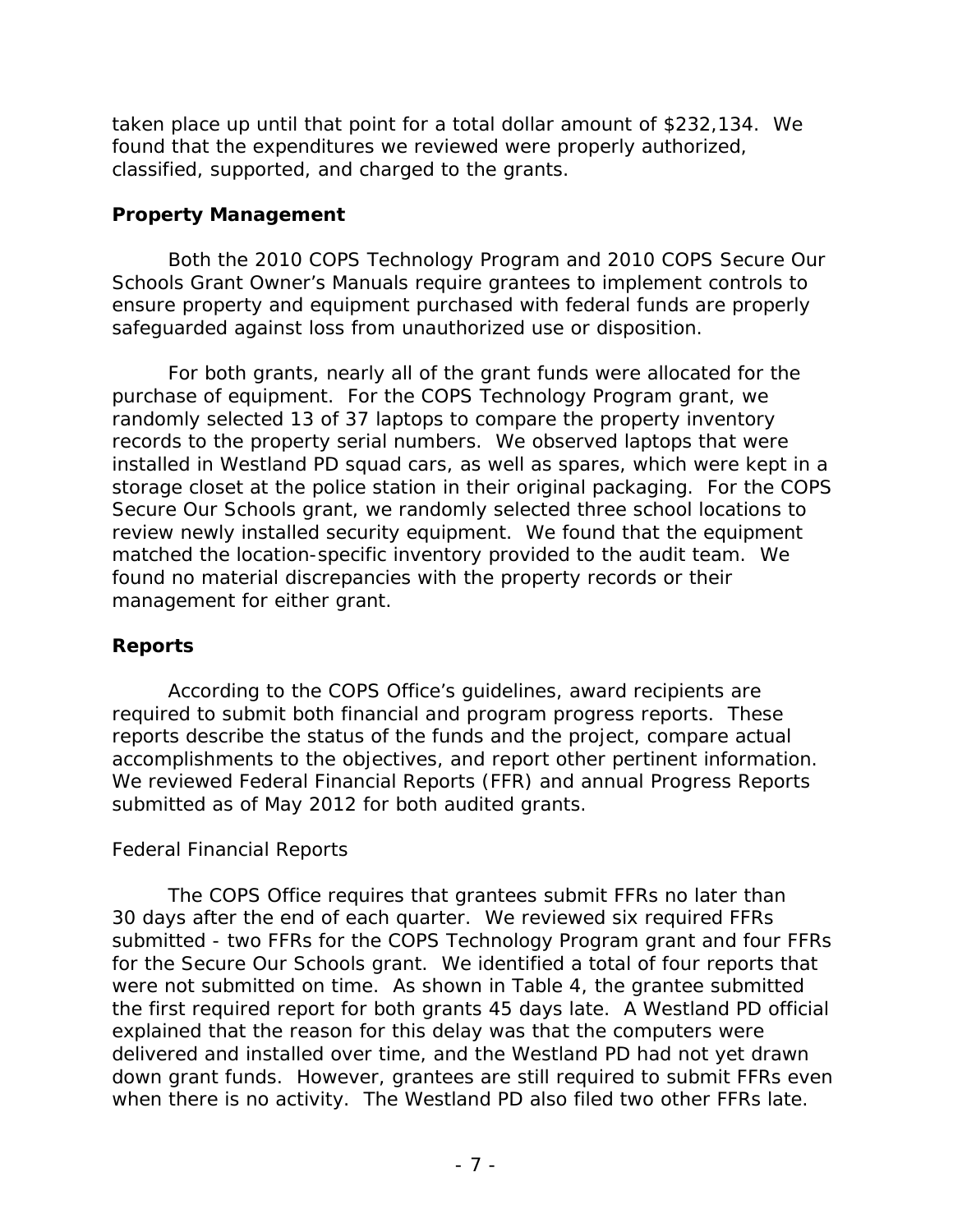taken place up until that point for a total dollar amount of \$232,134. We found that the expenditures we reviewed were properly authorized, classified, supported, and charged to the grants.

#### **Property Management**

safeguarded against loss from unauthorized use or disposition. Both the 2010 COPS Technology Program and 2010 COPS Secure Our Schools Grant Owner's Manuals require grantees to implement controls to ensure property and equipment purchased with federal funds are properly

 installed in Westland PD squad cars, as well as spares, which were kept in a matched the location-specific inventory provided to the audit team. We For both grants, nearly all of the grant funds were allocated for the purchase of equipment. For the COPS Technology Program grant, we randomly selected 13 of 37 laptops to compare the property inventory records to the property serial numbers. We observed laptops that were storage closet at the police station in their original packaging. For the COPS Secure Our Schools grant, we randomly selected three school locations to review newly installed security equipment. We found that the equipment found no material discrepancies with the property records or their management for either grant.

### **Reports**

 required to submit both financial and program progress reports. These According to the COPS Office's guidelines, award recipients are reports describe the status of the funds and the project, compare actual accomplishments to the objectives, and report other pertinent information. We reviewed Federal Financial Reports (FFR) and annual Progress Reports submitted as of May 2012 for both audited grants.

### *Federal Financial Reports*

 for the Secure Our Schools grant. We identified a total of four reports that were not submitted on time. As shown in Table 4, the grantee submitted the first required report for both grants 45 days late. A Westland PD official down grant funds. However, grantees are still required to submit FFRs even when there is no activity. The Westland PD also filed two other FFRs late. The COPS Office requires that grantees submit FFRs no later than 30 days after the end of each quarter. We reviewed six required FFRs submitted - two FFRs for the COPS Technology Program grant and four FFRs explained that the reason for this delay was that the computers were delivered and installed over time, and the Westland PD had not yet drawn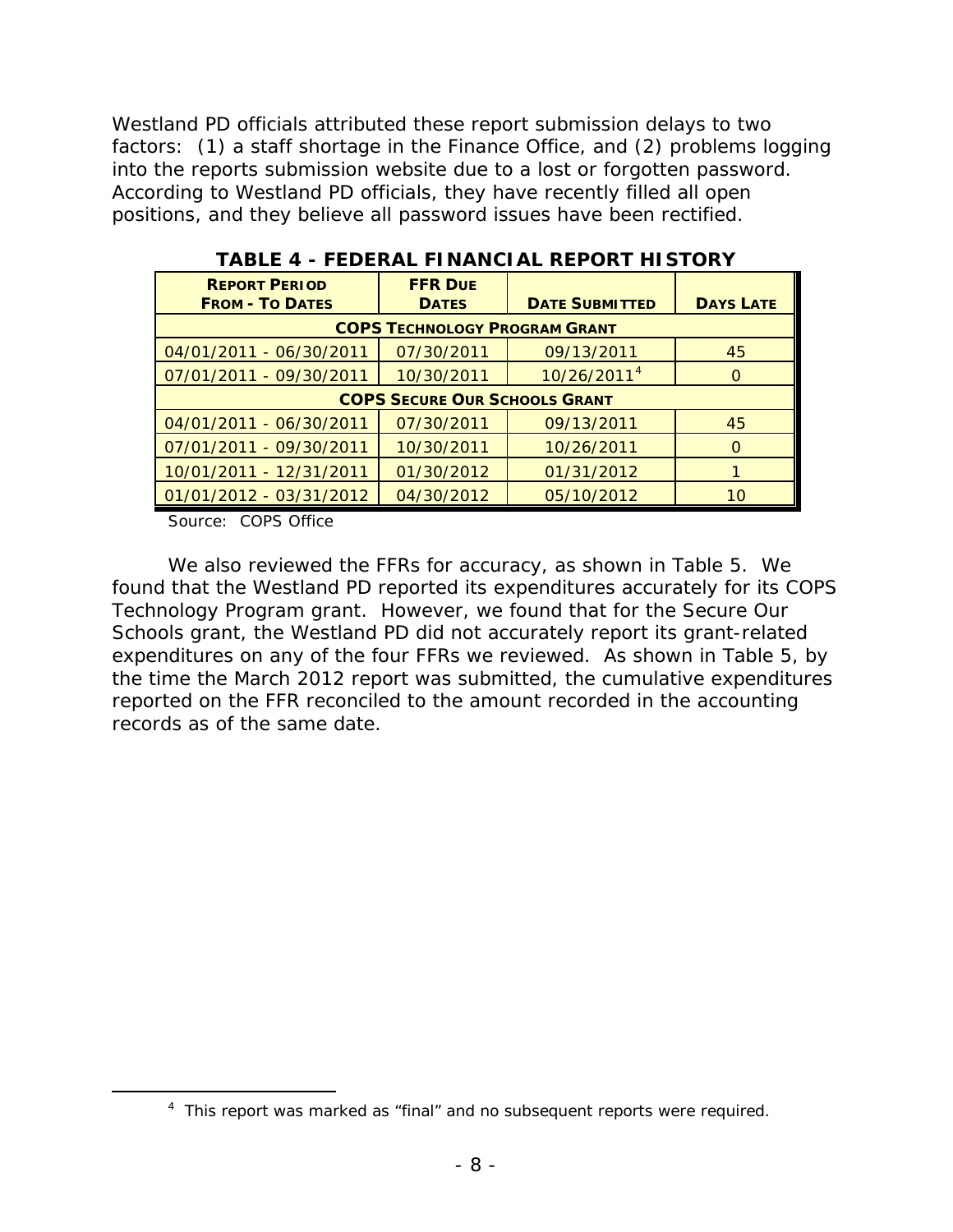Westland PD officials attributed these report submission delays to two factors: (1) a staff shortage in the Finance Office, and (2) problems logging into the reports submission website due to a lost or forgotten password. According to Westland PD officials, they have recently filled all open positions, and they believe all password issues have been rectified.

| <b>REPORT PERIOD</b>    | <b>FFR DUE</b>                       |                         |                  |
|-------------------------|--------------------------------------|-------------------------|------------------|
| <b>FROM - TO DATES</b>  | <b>DATES</b>                         | <b>DATE SUBMITTED</b>   | <b>DAYS LATE</b> |
|                         | <b>COPS TECHNOLOGY PROGRAM GRANT</b> |                         |                  |
| 04/01/2011 - 06/30/2011 | 07/30/2011                           | 09/13/2011              | 45               |
| 07/01/2011 - 09/30/2011 | 10/30/2011                           | 10/26/2011 <sup>4</sup> | O                |
|                         | <b>COPS SECURE OUR SCHOOLS GRANT</b> |                         |                  |
| 04/01/2011 - 06/30/2011 | 07/30/2011                           | 09/13/2011              | 45               |
| 07/01/2011 - 09/30/2011 | 10/30/2011                           | 10/26/2011              | O                |
| 10/01/2011 - 12/31/2011 | 01/30/2012                           | 01/31/2012              |                  |
| 01/01/2012 - 03/31/2012 | 04/30/2012                           | 05/10/2012              | 10               |

#### **TABLE 4 - FEDERAL FINANCIAL REPORT HISTORY**

Source: COPS Office

<span id="page-11-0"></span> $\overline{a}$ 

 We also reviewed the FFRs for accuracy, as shown in Table 5. We Schools grant, the Westland PD did not accurately report its grant-related found that the Westland PD reported its expenditures accurately for its COPS Technology Program grant. However, we found that for the Secure Our expenditures on any of the four FFRs we reviewed. As shown in Table 5, by the time the March 2012 report was submitted, the cumulative expenditures reported on the FFR reconciled to the amount recorded in the accounting records as of the same date.

<sup>&</sup>lt;sup>4</sup> This report was marked as "final" and no subsequent reports were required.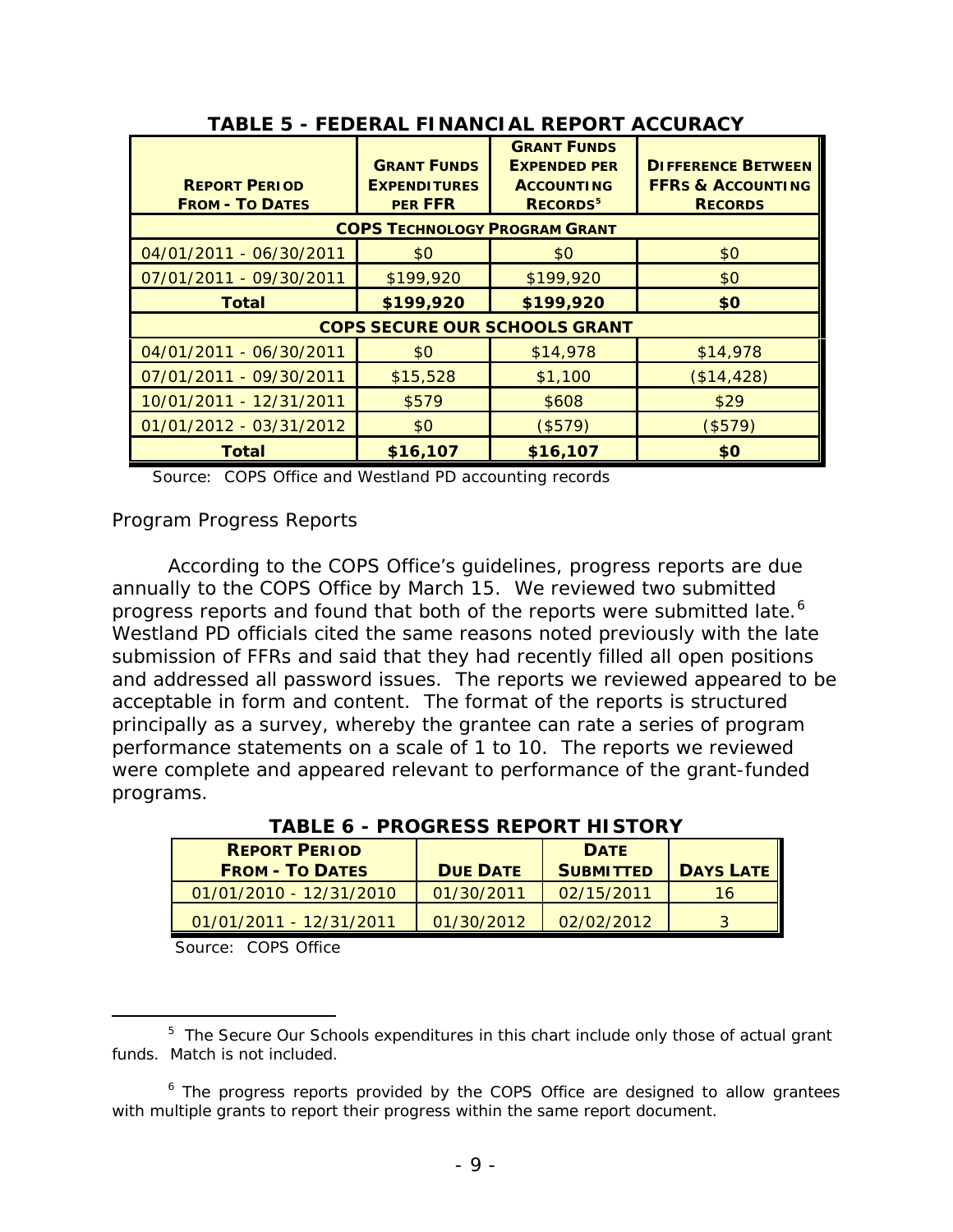| TABLE 5 - FEDERAL FINANCIAL REPORT ACCURACY    |                                                             |                                                                                               |                                                                             |  |  |  |
|------------------------------------------------|-------------------------------------------------------------|-----------------------------------------------------------------------------------------------|-----------------------------------------------------------------------------|--|--|--|
| <b>REPORT PERIOD</b><br><b>FROM - TO DATES</b> | <b>GRANT FUNDS</b><br><b>EXPENDITURES</b><br><b>PER FFR</b> | <b>GRANT FUNDS</b><br><b>EXPENDED PER</b><br><b>ACCOUNTING</b><br><b>RECORDS</b> <sup>5</sup> | <b>DIFFERENCE BETWEEN</b><br><b>FFRS &amp; ACCOUNTING</b><br><b>RECORDS</b> |  |  |  |
| <b>COPS TECHNOLOGY PROGRAM GRANT</b>           |                                                             |                                                                                               |                                                                             |  |  |  |
| 04/01/2011 - 06/30/2011                        | \$0                                                         | \$0                                                                                           | \$0                                                                         |  |  |  |
| 07/01/2011 - 09/30/2011                        | \$199,920                                                   | \$199,920                                                                                     | \$0                                                                         |  |  |  |
| <b>Total</b>                                   | \$199,920                                                   | \$199,920                                                                                     | \$0                                                                         |  |  |  |
|                                                |                                                             | <b>COPS SECURE OUR SCHOOLS GRANT</b>                                                          |                                                                             |  |  |  |
| 04/01/2011 - 06/30/2011                        | \$0                                                         | \$14,978                                                                                      | \$14,978                                                                    |  |  |  |
| 07/01/2011 - 09/30/2011                        | \$15,528                                                    | \$1,100                                                                                       | (\$14, 428)                                                                 |  |  |  |
| 10/01/2011 - 12/31/2011                        | \$579                                                       | \$608                                                                                         | \$29                                                                        |  |  |  |
| 01/01/2012 - 03/31/2012                        | \$0                                                         | (\$579)                                                                                       | (\$579)                                                                     |  |  |  |
| <b>Total</b>                                   | \$16,107                                                    | \$16,107                                                                                      | \$0                                                                         |  |  |  |

**TABLE 5 - FEDERAL FINANCIAL REPORT ACCURACY**

Source: COPS Office and Westland PD accounting records

*Program Progress Reports* 

 annually to the COPS Office by March 15. We reviewed two submitted progress reports and found that both of the reports were submitted late.<sup>6</sup> submission of FFRs and said that they had recently filled all open positions and addressed all password issues. The reports we reviewed appeared to be acceptable in form and content. The format of the reports is structured According to the COPS Office's guidelines, progress reports are due Westland PD officials cited the same reasons noted previously with the late principally as a survey, whereby the grantee can rate a series of program performance statements on a scale of 1 to 10. The reports we reviewed were complete and appeared relevant to performance of the grant-funded programs.

| <b>TABLE 6 - PROGRESS REPORT HISTORY</b> |                 |                  |                  |  |
|------------------------------------------|-----------------|------------------|------------------|--|
| <b>REPORT PERIOD</b>                     |                 | <b>DATE</b>      |                  |  |
| <b>FROM - TO DATES</b>                   | <b>DUE DATE</b> | <b>SUBMITTED</b> | <b>DAYS LATE</b> |  |
| 01/01/2010 - 12/31/2010                  | 01/30/2011      | 02/15/2011       | 16               |  |
| 01/01/2011 - 12/31/2011                  | 01/30/2012      | 02/02/2012       |                  |  |

Source: COPS Office

<span id="page-12-0"></span>l  $5$  The Secure Our Schools expenditures in this chart include only those of actual grant funds. Match is not included.

<span id="page-12-1"></span> with multiple grants to report their progress within the same report document.  $6$  The progress reports provided by the COPS Office are designed to allow grantees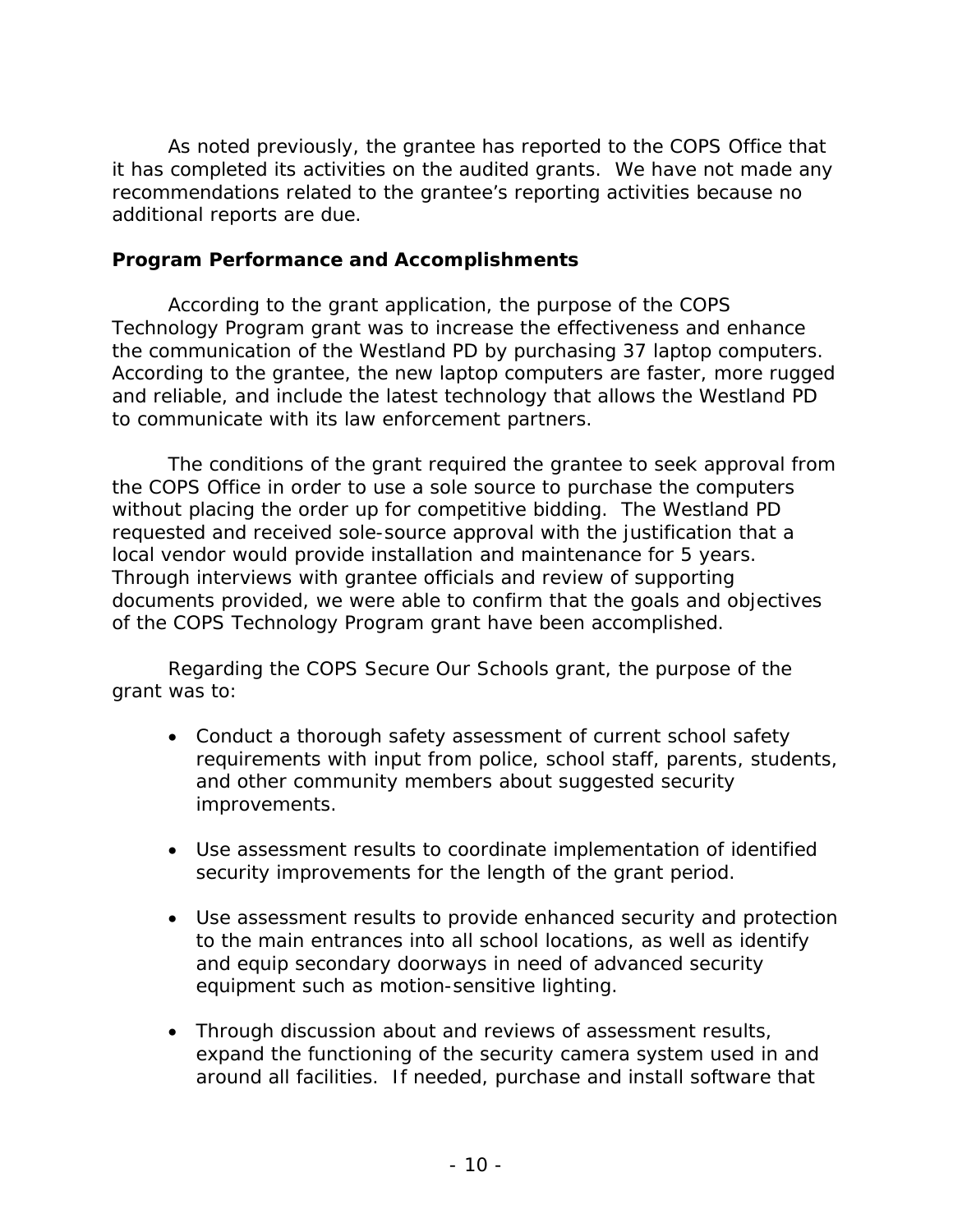it has completed its activities on the audited grants. We have not made any As noted previously, the grantee has reported to the COPS Office that recommendations related to the grantee's reporting activities because no additional reports are due.

#### **Program Performance and Accomplishments**

 According to the grant application, the purpose of the COPS the communication of the Westland PD by purchasing 37 laptop computers. and reliable, and include the latest technology that allows the Westland PD to communicate with its law enforcement partners. Technology Program grant was to increase the effectiveness and enhance According to the grantee, the new laptop computers are faster, more rugged

 without placing the order up for competitive bidding. The Westland PD local vendor would provide installation and maintenance for 5 years. of the COPS Technology Program grant have been accomplished. The conditions of the grant required the grantee to seek approval from the COPS Office in order to use a sole source to purchase the computers requested and received sole-source approval with the justification that a Through interviews with grantee officials and review of supporting documents provided, we were able to confirm that the goals and objectives

Regarding the COPS Secure Our Schools grant, the purpose of the grant was to:

- Conduct a thorough safety assessment of current school safety improvements. requirements with input from police, school staff, parents, students, and other community members about suggested security
- Use assessment results to coordinate implementation of identified security improvements for the length of the grant period.
- Use assessment results to provide enhanced security and protection to the main entrances into all school locations, as well as identify and equip secondary doorways in need of advanced security equipment such as motion-sensitive lighting.
- around all facilities. If needed, purchase and install software that • Through discussion about and reviews of assessment results, expand the functioning of the security camera system used in and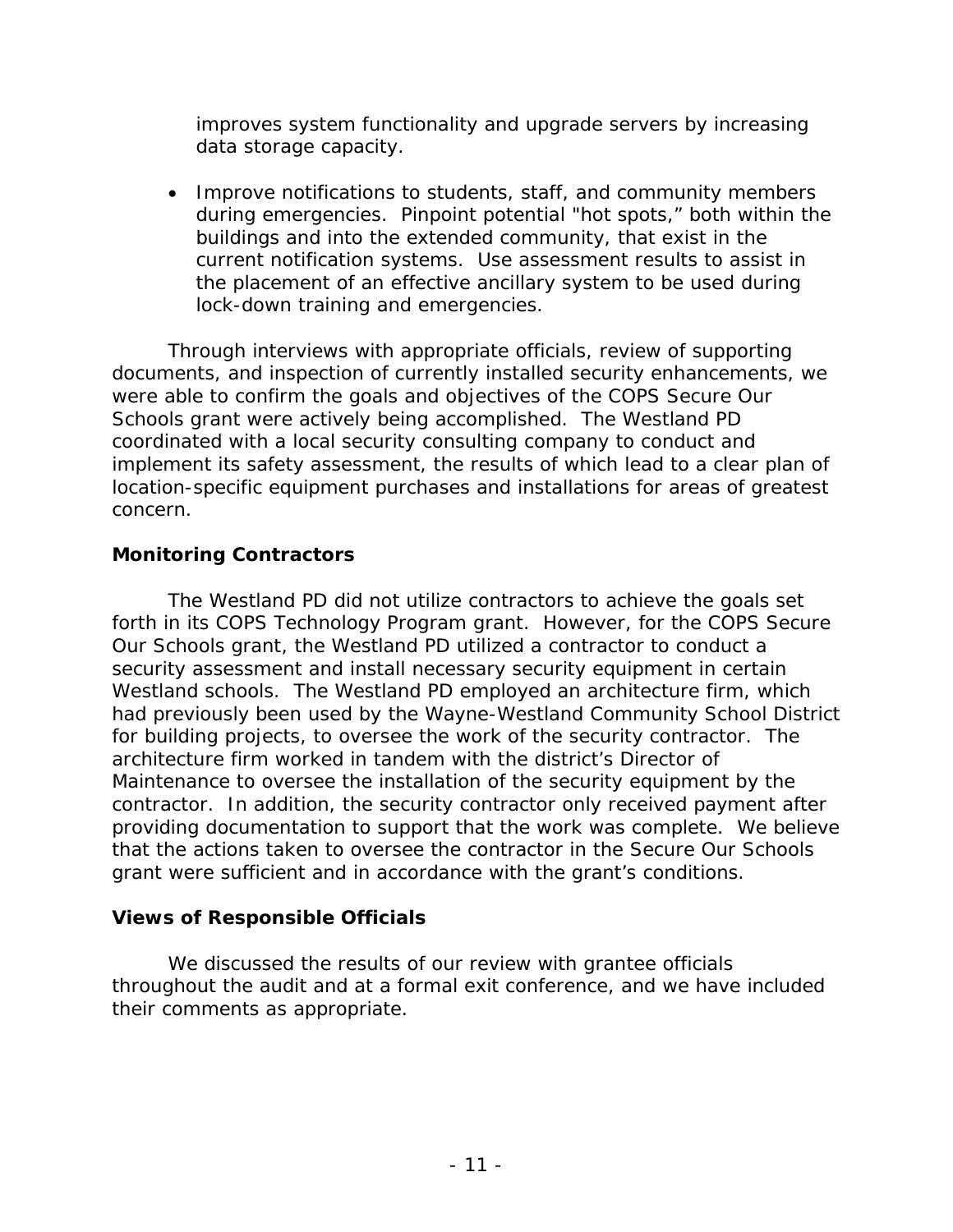data storage capacity. improves system functionality and upgrade servers by increasing

• Improve notifications to students, staff, and community members during emergencies. Pinpoint potential "hot spots," both within the current notification systems. Use assessment results to assist in buildings and into the extended community, that exist in the the placement of an effective ancillary system to be used during lock-down training and emergencies.

Through interviews with appropriate officials, review of supporting documents, and inspection of currently installed security enhancements, we were able to confirm the goals and objectives of the COPS Secure Our Schools grant were actively being accomplished. The Westland PD coordinated with a local security consulting company to conduct and implement its safety assessment, the results of which lead to a clear plan of location-specific equipment purchases and installations for areas of greatest concern.

#### **Monitoring Contractors**

 forth in its COPS Technology Program grant. However, for the COPS Secure Westland schools. The Westland PD employed an architecture firm, which contractor. In addition, the security contractor only received payment after providing documentation to support that the work was complete. We believe The Westland PD did not utilize contractors to achieve the goals set Our Schools grant, the Westland PD utilized a contractor to conduct a security assessment and install necessary security equipment in certain had previously been used by the Wayne-Westland Community School District for building projects, to oversee the work of the security contractor. The architecture firm worked in tandem with the district's Director of Maintenance to oversee the installation of the security equipment by the that the actions taken to oversee the contractor in the Secure Our Schools grant were sufficient and in accordance with the grant's conditions.

#### **Views of Responsible Officials**

their comments as appropriate. We discussed the results of our review with grantee officials throughout the audit and at a formal exit conference, and we have included their comments as appropriate. - 11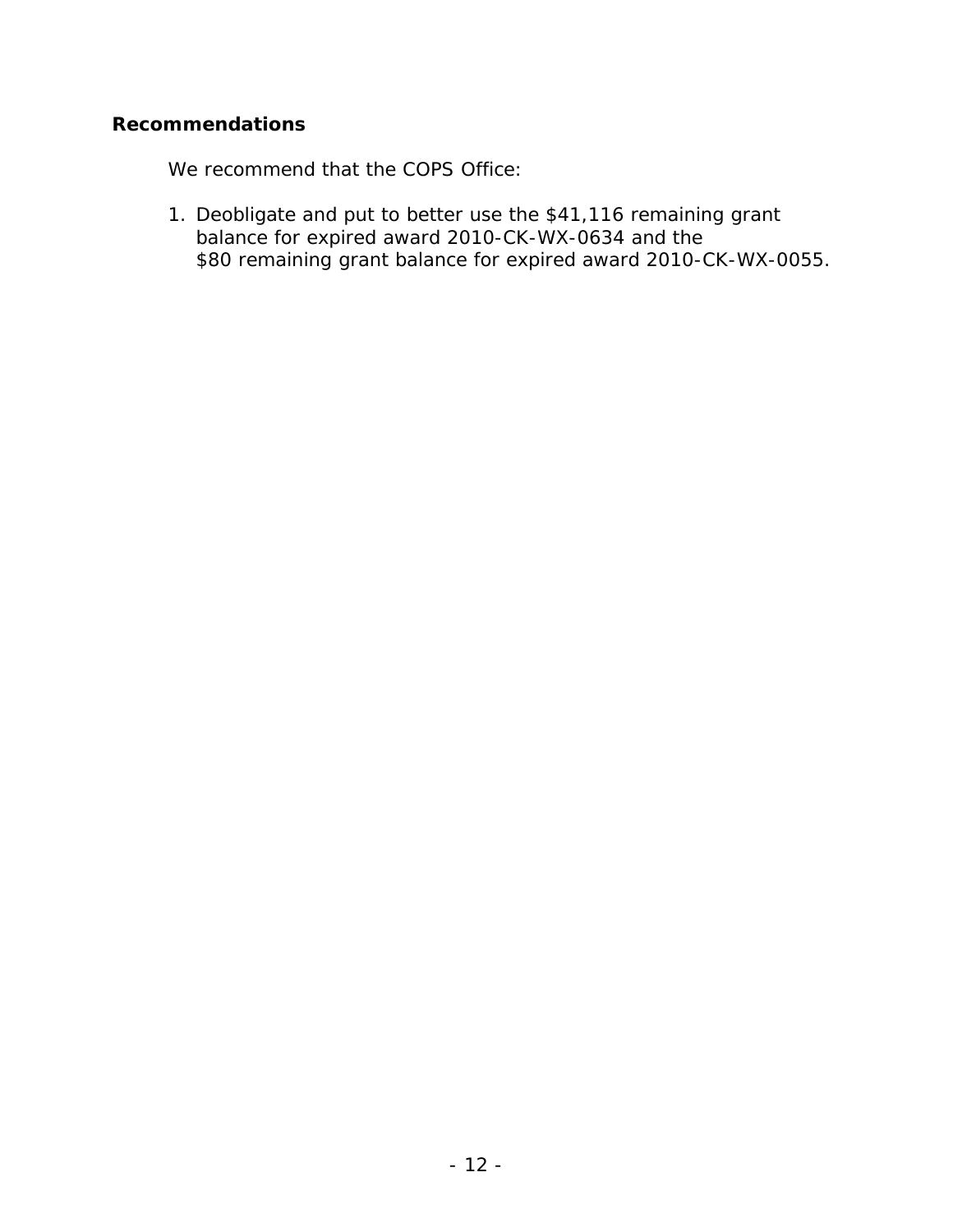### **Recommendations**

We recommend that the COPS Office:

1. Deobligate and put to better use the \$41,116 remaining grant balance for expired award 2010-CK-WX-0634 and the \$80 remaining grant balance for expired award 2010-CK-WX-0055.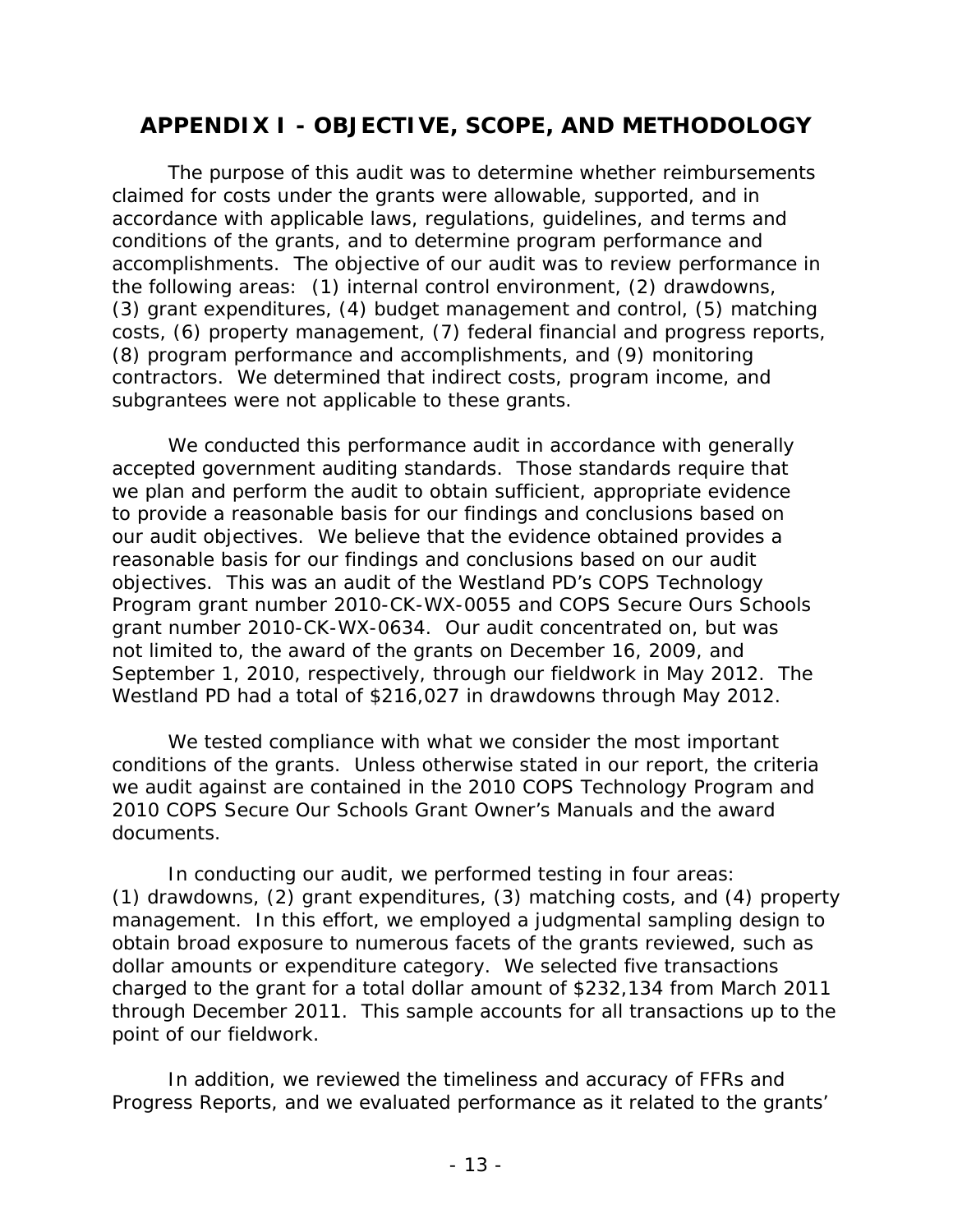# **APPENDIX I - OBJECTIVE, SCOPE, AND METHODOLOGY**

 accomplishments. The objective of our audit was to review performance in the following areas: (1) internal control environment, (2) drawdowns, (3) grant expenditures, (4) budget management and control, (5) matching costs, (6) property management, (7) federal financial and progress reports, The purpose of this audit was to determine whether reimbursements claimed for costs under the grants were allowable, supported, and in accordance with applicable laws, regulations, guidelines, and terms and conditions of the grants, and to determine program performance and (8) program performance and accomplishments, and (9) monitoring contractors. We determined that indirect costs, program income, and subgrantees were not applicable to these grants.

 reasonable basis for our findings and conclusions based on our audit September 1, 2010, respectively, through our fieldwork in May 2012. The Westland PD had a total of \$216,027 in drawdowns through May 2012. We conducted this performance audit in accordance with generally accepted government auditing standards. Those standards require that we plan and perform the audit to obtain sufficient, appropriate evidence to provide a reasonable basis for our findings and conclusions based on our audit objectives. We believe that the evidence obtained provides a objectives. This was an audit of the Westland PD's COPS Technology Program grant number 2010-CK-WX-0055 and COPS Secure Ours Schools grant number 2010-CK-WX-0634. Our audit concentrated on, but was not limited to, the award of the grants on December 16, 2009, and

 2010 COPS Secure Our Schools Grant Owner's Manuals and the award We tested compliance with what we consider the most important conditions of the grants. Unless otherwise stated in our report, the criteria we audit against are contained in the 2010 COPS Technology Program and documents.

In conducting our audit, we performed testing in four areas: In conducting our audit, we performed testing in four areas: (1) drawdowns, (2) grant expenditures, (3) matching costs, and (4) property dollar amounts or expenditure category. We selected five transactions charged to the grant for a total dollar amount of \$232,134 from March 2011 through December 2011. This sample accounts for all transactions up to the management. In this effort, we employed a judgmental sampling design to obtain broad exposure to numerous facets of the grants reviewed, such as point of our fieldwork.

In addition, we reviewed the timeliness and accuracy of FFRs and Progress Reports, and we evaluated performance as it related to the grants'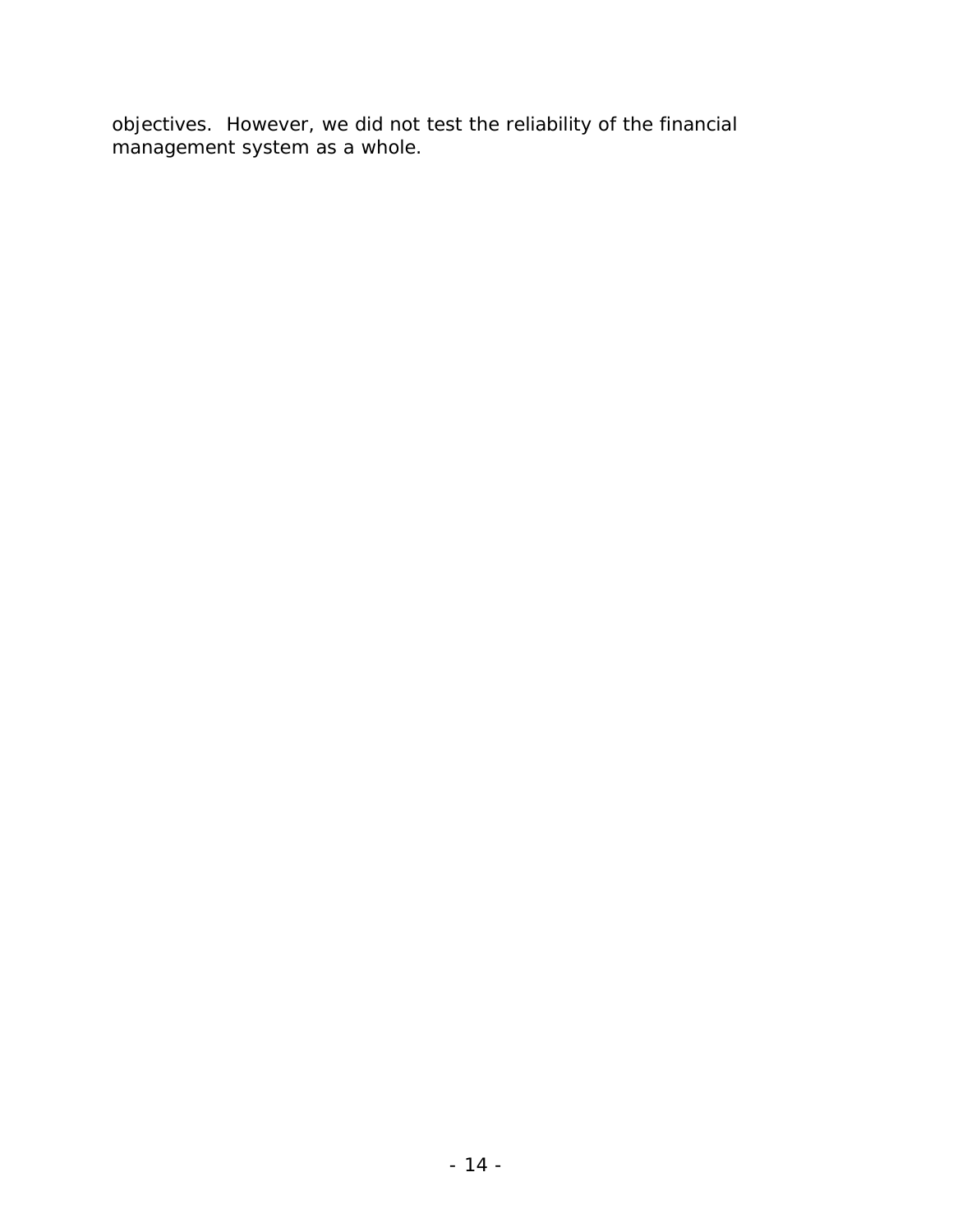objectives. However, we did not test the reliability of the financial management system as a whole.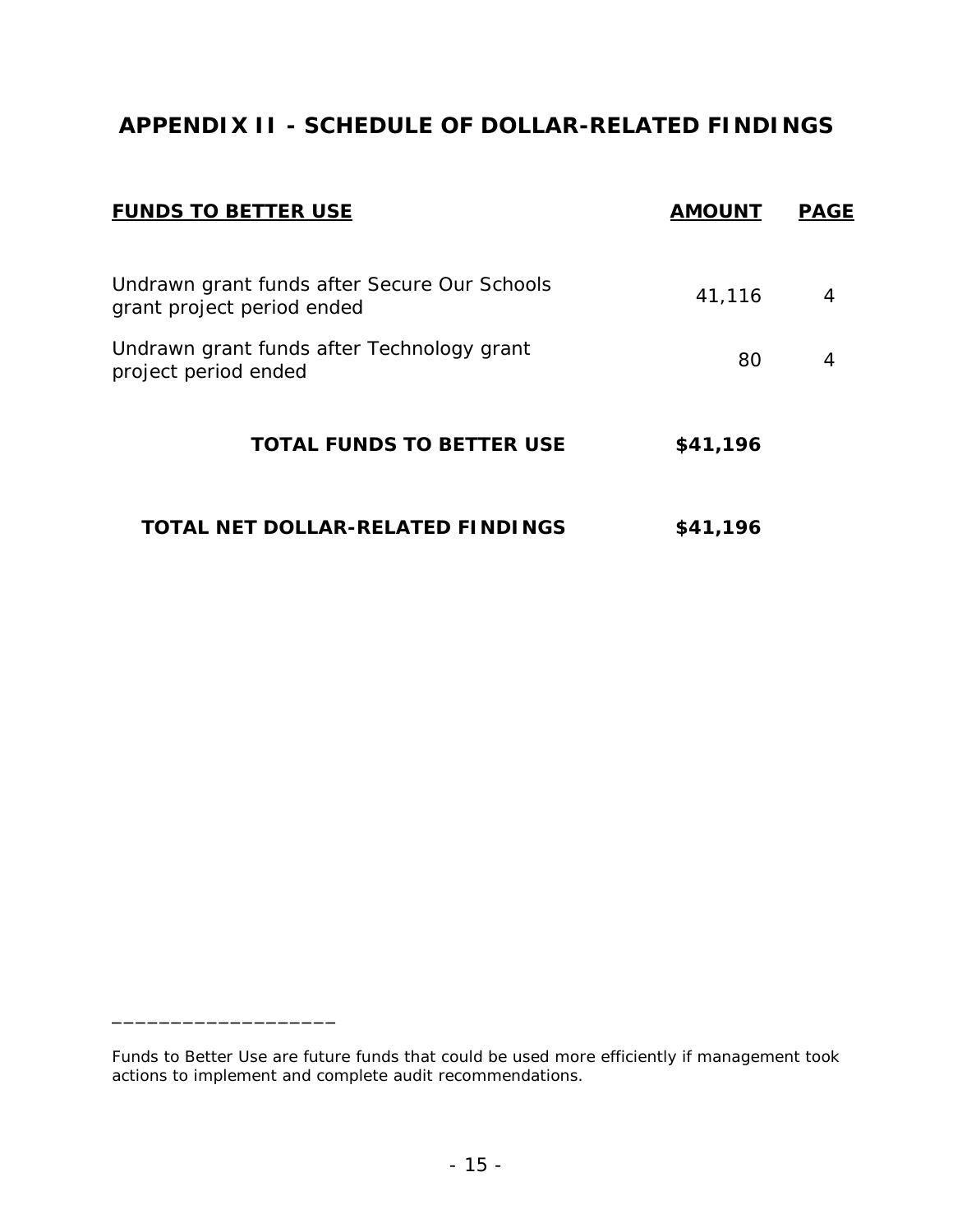# **APPENDIX II - SCHEDULE OF DOLLAR-RELATED FINDINGS**

| <b>FUNDS TO BETTER USE</b>                                                 | <b>AMOUNT</b> | <b>PAGE</b> |
|----------------------------------------------------------------------------|---------------|-------------|
| Undrawn grant funds after Secure Our Schools<br>grant project period ended | 41,116        | 4           |
| Undrawn grant funds after Technology grant<br>project period ended         | 80            | 4           |
| <b>TOTAL FUNDS TO BETTER USE</b>                                           | \$41,196      |             |
| TOTAL NET DOLLAR-RELATED FINDINGS                                          | \$41,196      |             |

\_\_\_\_\_\_\_\_\_\_\_\_\_\_\_\_\_\_\_

*Funds to Better Use* are future funds that could be used more efficiently if management took actions to implement and complete audit recommendations.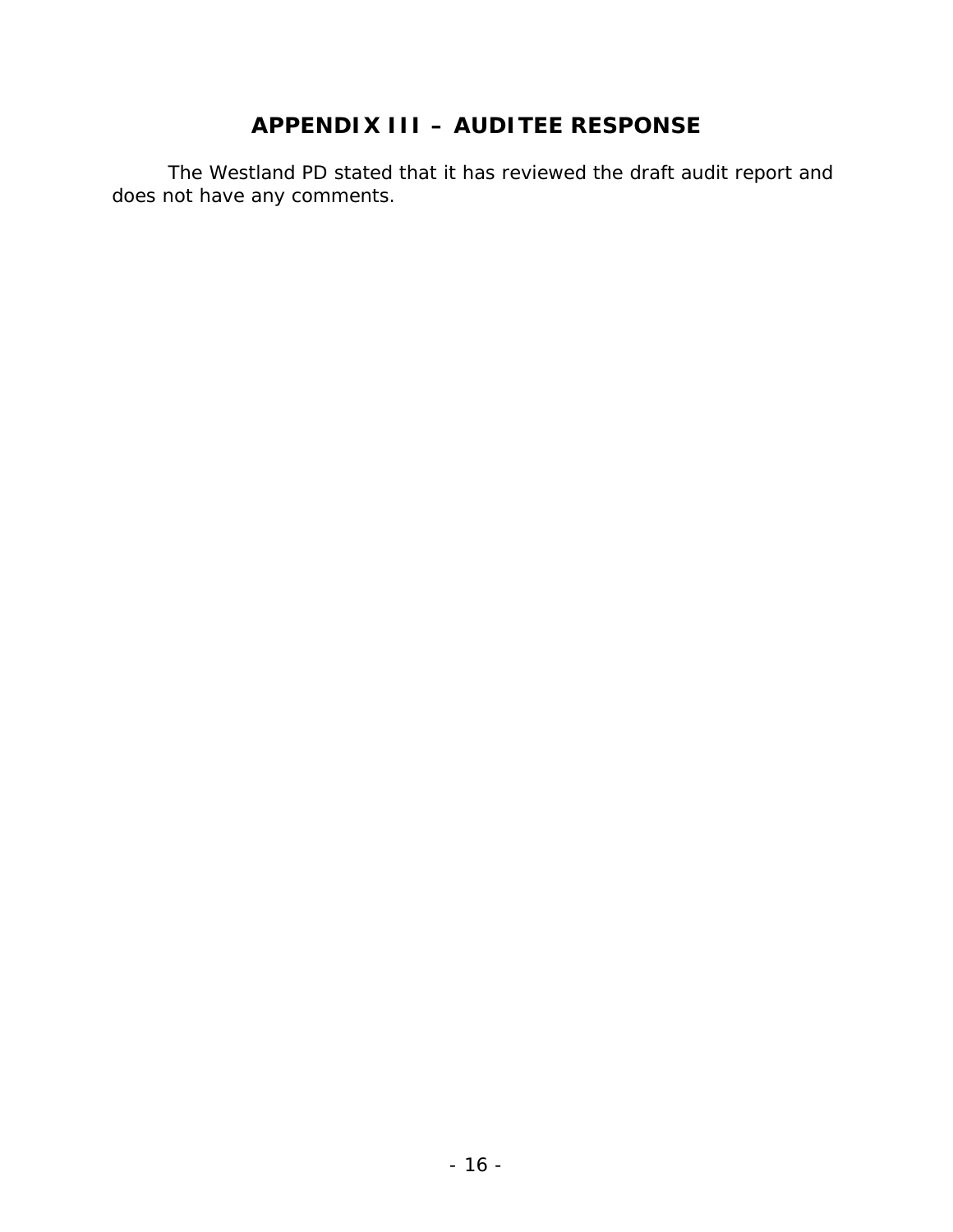# **APPENDIX III – AUDITEE RESPONSE**

The Westland PD stated that it has reviewed the draft audit report and does not have any comments.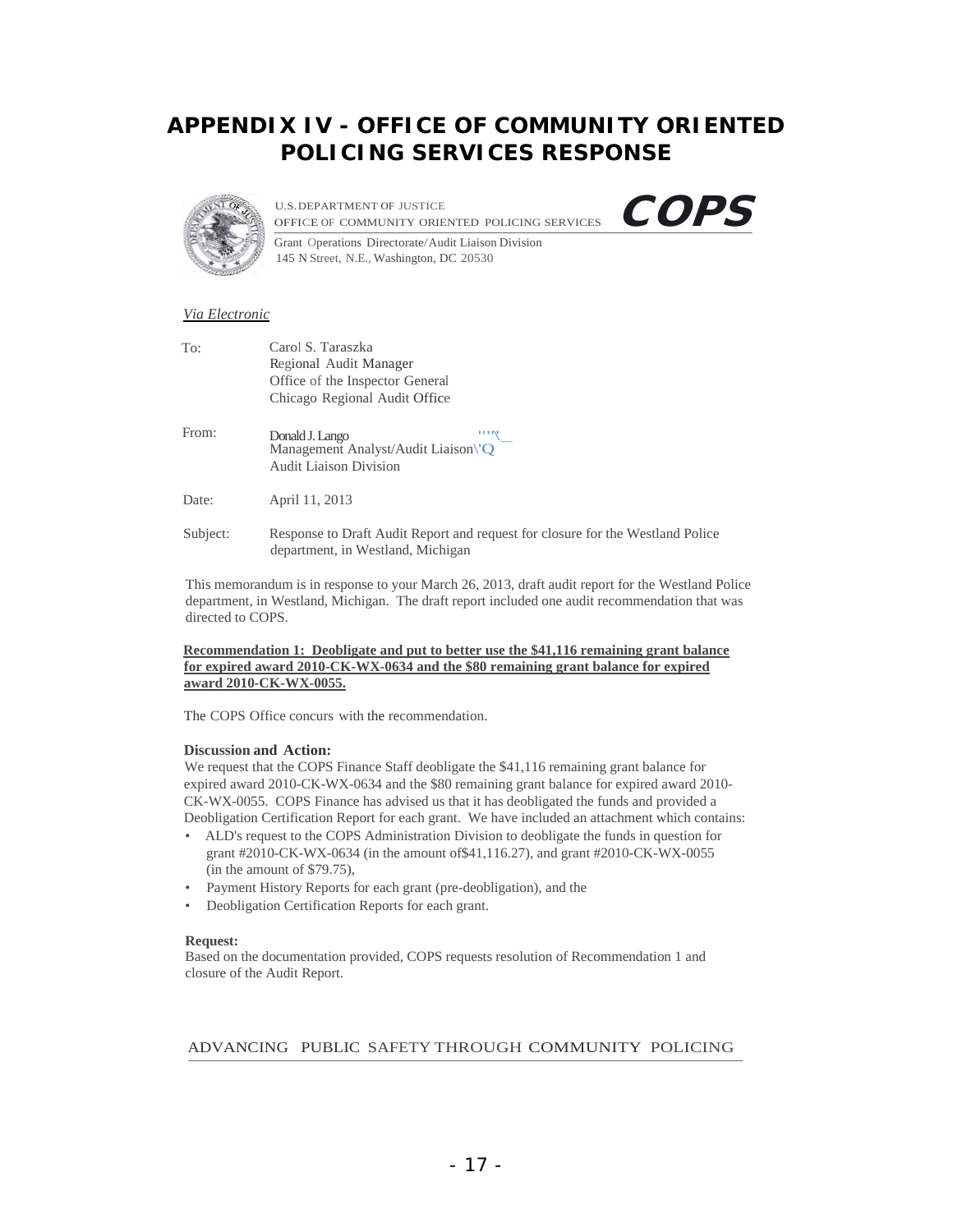## **APPENDIX IV - OFFICE OF COMMUNITY ORIENTED POLICING SERVICES RESPONSE**



U.S.DEPARTMENT OF JUSTICE U.S. DEPARTMENT OF JUSTICE<br>OFFICE OF COMMUNITY ORIENTED POLICING SERVICES COPS



Grant Operations Directorate/Audit Liaison Division 145 N Street, N.E., Washington, DC 20530

#### *Via Electronic*

| To:   | Carol S. Taraszka               |   |
|-------|---------------------------------|---|
|       | Regional Audit Manager          |   |
|       | Office of the Inspector General |   |
|       | Chicago Regional Audit Office   |   |
|       |                                 |   |
| From: | Donald J. Lango                 | Ħ |

Management Analyst/Audit Liaison\'O Audit Liaison Division

Date: **April 11, 2013** 

Subject: Response to Draft Audit Report and request for closure for the Westland Police department, in Westland, Michigan

This memorandum is in response to your March 26, 2013, draft audit report for the Westland Police department, in Westland, Michigan. The draft report included one audit recommendation that was directed to COPS.

#### **for expired award 2010-CK-WX-0634 and the \$80 remaining grant balance for expired Recommendation 1: Deobligate and put to better use the \$41,116 remaining grant balance award 2010-CK-WX-0055.**

The COPS Office concurs with the recommendation.

#### **Discussion and Action:**

We request that the COPS Finance Staff deobligate the \$41,116 remaining grant balance for expired award 2010-CK-WX-0634 and the \$80 remaining grant balance for expired award 2010-CK-WX-0055. COPS Finance has advised us that it has deobligated the funds and provided a Deobligation Certification Report for each grant. We have included an attachment which contains:

- • ALD's request to the COPS Administration Division to deobligate the funds in question for grant #2010-CK-WX-0634 (in the amount of\$41,116.27), and grant #2010-CK-WX-0055 (in the amount of \$79.75),
- Payment History Reports for each grant (pre-deobligation), and the
- • Deobligation Certification Reports for each grant.

#### **Request:**

Based on the documentation provided, COPS requests resolution of Recommendation 1 and closure of the Audit Report.

ADVANCING PUBLIC SAFETY THROUGH COMMUNITY POLICING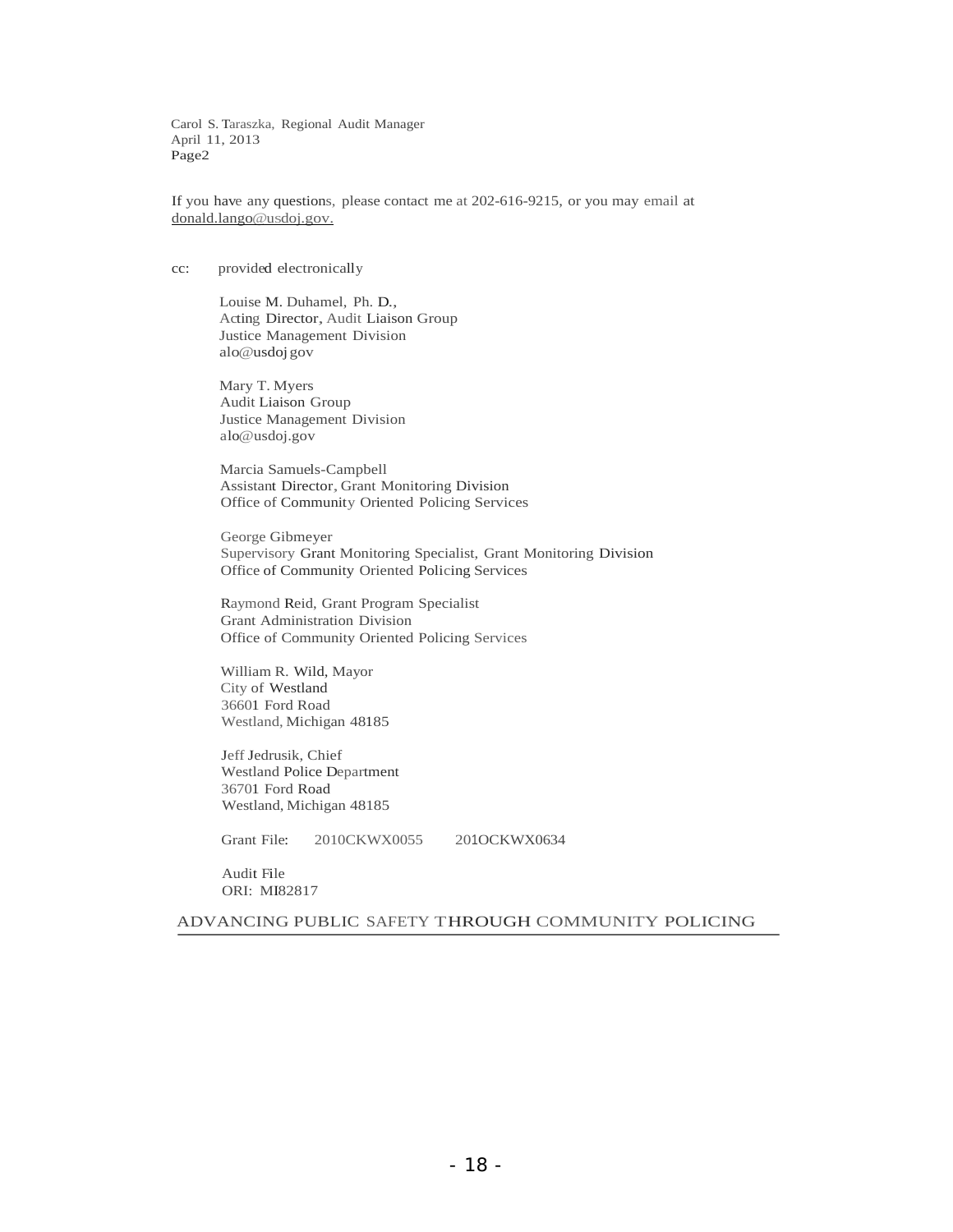Carol S. Taraszka, Regional Audit Manager April 11, 2013 Page2

If you have any questions, please contact me at 202-616-9215, or you may email at donald.lango@usdoj.gov.

#### cc: provided electronically

Louise M. Duhamel, Ph. D., Acting Director, Audit Liaison Group Justice Management Division alo@usdoj gov

Mary T. Myers Audit Liaison Group Justice Management Division alo@usdoj.gov

Marcia Samuels-Campbell Assistant Director, Grant Monitoring Division Office of Community Oriented Policing Services

George Gibmeyer Supervisory Grant Monitoring Specialist, Grant Monitoring Division Office of Community Oriented Policing Services

Raymond Reid, Grant Program Specialist Grant Administration Division Office of Community Oriented Policing Services

William R. Wild, Mayor City of Westland 36601 Ford Road Westland, Michigan 48185

Jeff Jedrusik, Chief Westland Police Department 36701 Ford Road Westland, Michigan 48185

Grant File: 2010CKWX0055 201OCKWX0634

Audit File ORI: MI82817

ADVANCING PUBLIC SAFETY THROUGH COMMUNITY POLICING